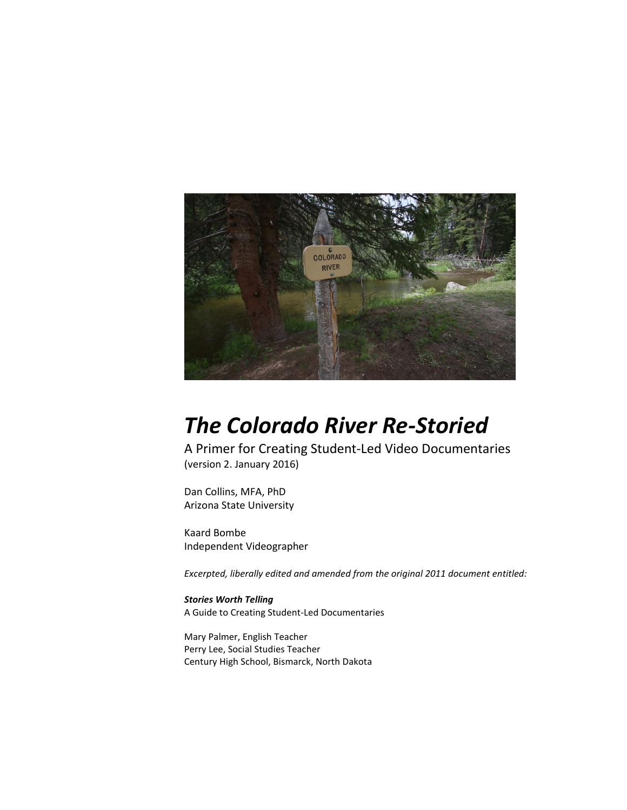

## *The Colorado River Re-Storied*

A Primer for Creating Student-Led Video Documentaries (version 2. January 2016)

Dan Collins, MFA, PhD Arizona State University

Kaard Bombe Independent Videographer

*Excerpted, liberally edited and amended from the original 2011 document entitled:* 

*Stories Worth Telling* A Guide to Creating Student-Led Documentaries

Mary Palmer, English Teacher Perry Lee, Social Studies Teacher Century High School, Bismarck, North Dakota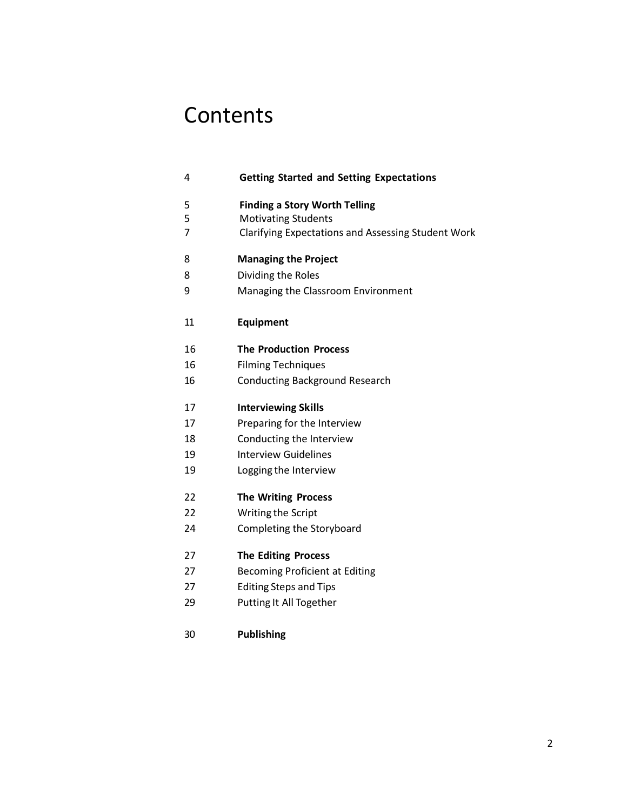## **Contents**

| 4  | <b>Getting Started and Setting Expectations</b>    |
|----|----------------------------------------------------|
| 5  | <b>Finding a Story Worth Telling</b>               |
| 5  | <b>Motivating Students</b>                         |
| 7  | Clarifying Expectations and Assessing Student Work |
| 8  | <b>Managing the Project</b>                        |
| 8  | Dividing the Roles                                 |
| 9  | Managing the Classroom Environment                 |
| 11 | Equipment                                          |
| 16 | <b>The Production Process</b>                      |
| 16 | <b>Filming Techniques</b>                          |
| 16 | <b>Conducting Background Research</b>              |
| 17 | <b>Interviewing Skills</b>                         |
| 17 | Preparing for the Interview                        |
| 18 | Conducting the Interview                           |
| 19 | <b>Interview Guidelines</b>                        |
| 19 | Logging the Interview                              |
| 22 | <b>The Writing Process</b>                         |
| 22 | Writing the Script                                 |
| 24 | Completing the Storyboard                          |
| 27 | <b>The Editing Process</b>                         |
| 27 | <b>Becoming Proficient at Editing</b>              |
| 27 | <b>Editing Steps and Tips</b>                      |
| 29 | Putting It All Together                            |
|    |                                                    |

**Publishing**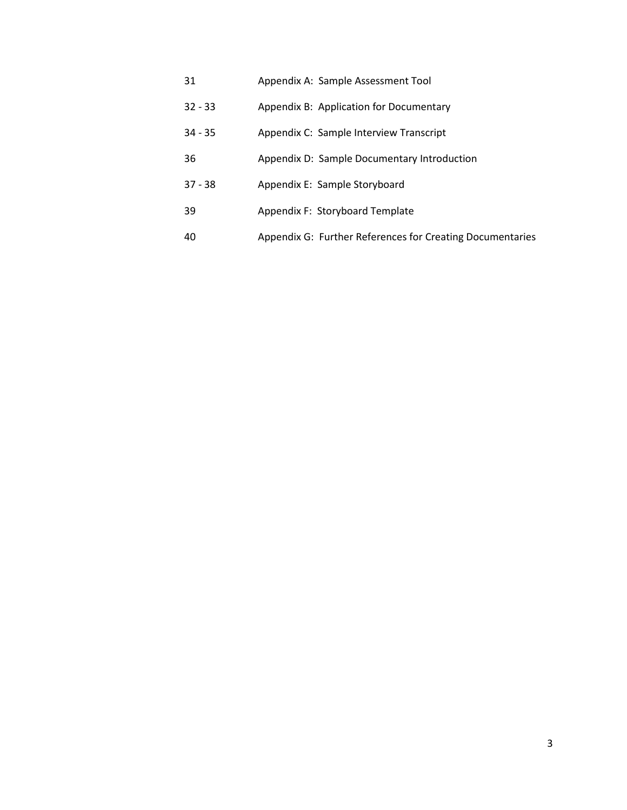- 31 Appendix A: Sample Assessment Tool
- 32 33 Appendix B: Application for Documentary
- 34 35 Appendix C: Sample Interview Transcript
- 36 Appendix D: Sample Documentary Introduction
- 37 38 Appendix E: Sample Storyboard
- 39 Appendix F: Storyboard Template
- 40 Appendix G: Further References for Creating Documentaries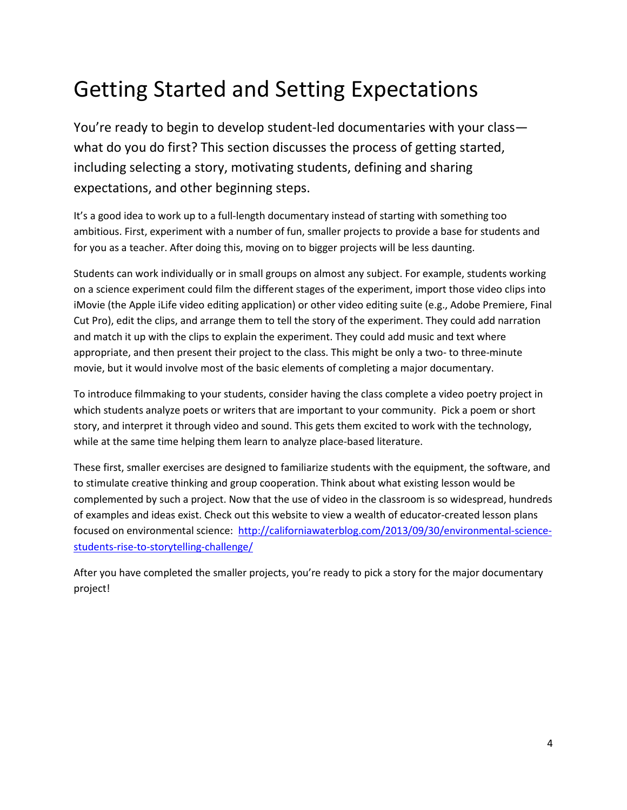## Getting Started and Setting Expectations

You're ready to begin to develop student-led documentaries with your class what do you do first? This section discusses the process of getting started, including selecting a story, motivating students, defining and sharing expectations, and other beginning steps.

It's a good idea to work up to a full-length documentary instead of starting with something too ambitious. First, experiment with a number of fun, smaller projects to provide a base for students and for you as a teacher. After doing this, moving on to bigger projects will be less daunting.

Students can work individually or in small groups on almost any subject. For example, students working on a science experiment could film the different stages of the experiment, import those video clips into iMovie (the Apple iLife video editing application) or other video editing suite (e.g., Adobe Premiere, Final Cut Pro), edit the clips, and arrange them to tell the story of the experiment. They could add narration and match it up with the clips to explain the experiment. They could add music and text where appropriate, and then present their project to the class. This might be only a two- to three-minute movie, but it would involve most of the basic elements of completing a major documentary.

To introduce filmmaking to your students, consider having the class complete a video poetry project in which students analyze poets or writers that are important to your community. Pick a poem or short story, and interpret it through video and sound. This gets them excited to work with the technology, while at the same time helping them learn to analyze place-based literature.

These first, smaller exercises are designed to familiarize students with the equipment, the software, and to stimulate creative thinking and group cooperation. Think about what existing lesson would be complemented by such a project. Now that the use of video in the classroom is so widespread, hundreds of examples and ideas exist. Check out this website to view a wealth of educator-created lesson plans focused on environmental science: [http://californiawaterblog.com/2013/09/30/environmental-science](http://californiawaterblog.com/2013/09/30/environmental-science-students-rise-to-storytelling-challenge/)[students-rise-to-storytelling-challenge/](http://californiawaterblog.com/2013/09/30/environmental-science-students-rise-to-storytelling-challenge/)

After you have completed the smaller projects, you're ready to pick a story for the major documentary project!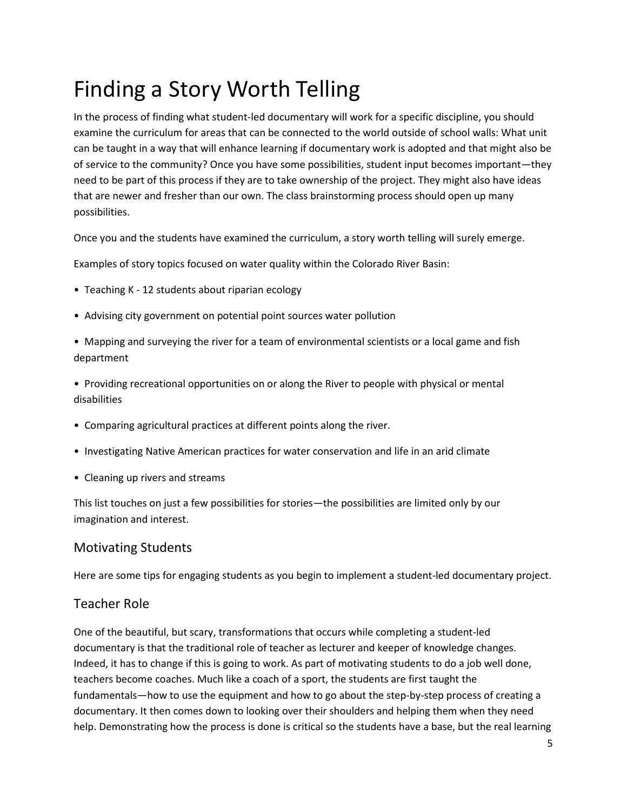## Finding a Story Worth Telling

In the process of finding what student-led documentary will work for a specific discipline, you should examine the curriculum for areas that can be connected to the world outside of school walls: What unit can be taught in a way that will enhance learning if documentary work is adopted and that might also be of service to the community? Once you have some possibilities, student input becomes important—they need to be part of this process if they are to take ownership of the project. They might also have ideas that are newer and fresher than our own. The class brainstorming process should open up many possibilities.

Once you and the students have examined the curriculum, a story worth telling will surely emerge.

Examples of story topics focused on water quality within the Colorado River Basin:

- Teaching K 12 students about riparian ecology
- Advising city government on potential point sources water pollution
- Mapping and surveying the river for a team of environmental scientists or a local game and fish department
- Providing recreational opportunities on or along the River to people with physical or mental disabilities
- Comparing agricultural practices at different points along the river.
- Investigating Native American practices for water conservation and life in an arid climate
- Cleaning up rivers and streams

This list touches on just a few possibilities for stories—the possibilities are limited only by our imagination and interest.

#### Motivating Students

Here are some tips for engaging students as you begin to implement a student-led documentary project.

#### Teacher Role

One of the beautiful, but scary, transformations that occurs while completing a student-led documentary is that the traditional role of teacher as lecturer and keeper of knowledge changes. Indeed, it has to change if this is going to work. As part of motivating students to do a job well done, teachers become coaches. Much like a coach of a sport, the students are first taught the fundamentals—how to use the equipment and how to go about the step-by-step process of creating a documentary. It then comes down to looking over their shoulders and helping them when they need help. Demonstrating how the process is done is critical so the students have a base, but the real learning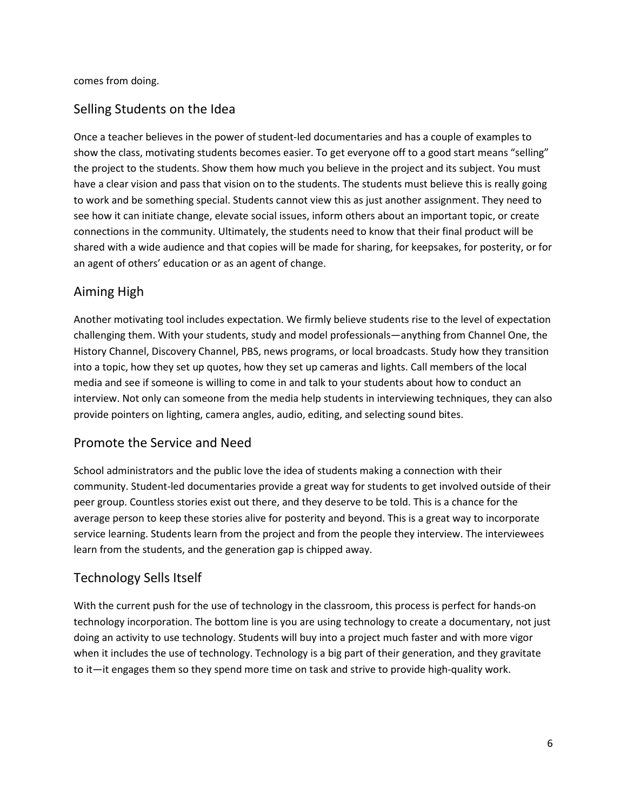comes from doing.

### Selling Students on the Idea

Once a teacher believes in the power of student-led documentaries and has a couple of examples to show the class, motivating students becomes easier. To get everyone off to a good start means "selling" the project to the students. Show them how much you believe in the project and its subject. You must have a clear vision and pass that vision on to the students. The students must believe this is really going to work and be something special. Students cannot view this as just another assignment. They need to see how it can initiate change, elevate social issues, inform others about an important topic, or create connections in the community. Ultimately, the students need to know that their final product will be shared with a wide audience and that copies will be made for sharing, for keepsakes, for posterity, or for an agent of others' education or as an agent of change.

### Aiming High

Another motivating tool includes expectation. We firmly believe students rise to the level of expectation challenging them. With your students, study and model professionals—anything from Channel One, the History Channel, Discovery Channel, PBS, news programs, or local broadcasts. Study how they transition into a topic, how they set up quotes, how they set up cameras and lights. Call members of the local media and see if someone is willing to come in and talk to your students about how to conduct an interview. Not only can someone from the media help students in interviewing techniques, they can also provide pointers on lighting, camera angles, audio, editing, and selecting sound bites.

### Promote the Service and Need

School administrators and the public love the idea of students making a connection with their community. Student-led documentaries provide a great way for students to get involved outside of their peer group. Countless stories exist out there, and they deserve to be told. This is a chance for the average person to keep these stories alive for posterity and beyond. This is a great way to incorporate service learning. Students learn from the project and from the people they interview. The interviewees learn from the students, and the generation gap is chipped away.

## Technology Sells Itself

With the current push for the use of technology in the classroom, this process is perfect for hands-on technology incorporation. The bottom line is you are using technology to create a documentary, not just doing an activity to use technology. Students will buy into a project much faster and with more vigor when it includes the use of technology. Technology is a big part of their generation, and they gravitate to it—it engages them so they spend more time on task and strive to provide high-quality work.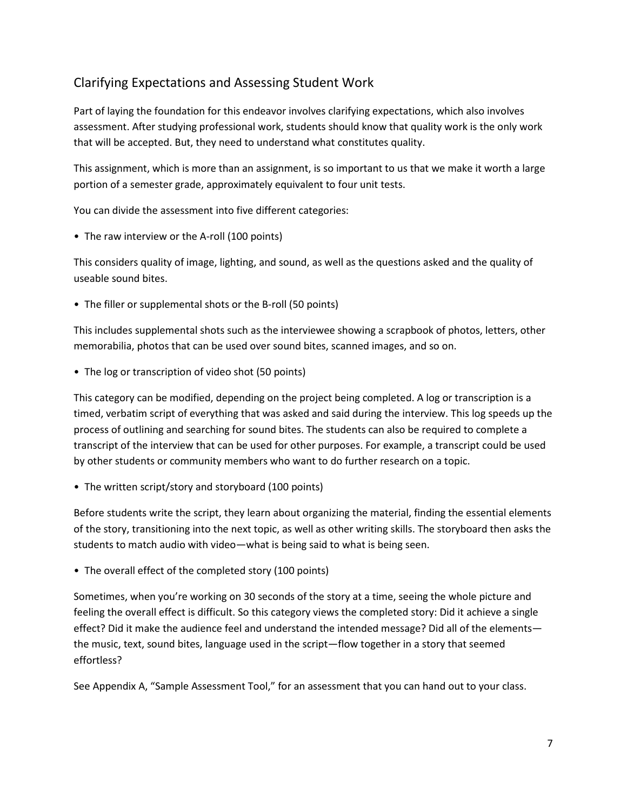### Clarifying Expectations and Assessing Student Work

Part of laying the foundation for this endeavor involves clarifying expectations, which also involves assessment. After studying professional work, students should know that quality work is the only work that will be accepted. But, they need to understand what constitutes quality.

This assignment, which is more than an assignment, is so important to us that we make it worth a large portion of a semester grade, approximately equivalent to four unit tests.

You can divide the assessment into five different categories:

• The raw interview or the A-roll (100 points)

This considers quality of image, lighting, and sound, as well as the questions asked and the quality of useable sound bites.

• The filler or supplemental shots or the B-roll (50 points)

This includes supplemental shots such as the interviewee showing a scrapbook of photos, letters, other memorabilia, photos that can be used over sound bites, scanned images, and so on.

• The log or transcription of video shot (50 points)

This category can be modified, depending on the project being completed. A log or transcription is a timed, verbatim script of everything that was asked and said during the interview. This log speeds up the process of outlining and searching for sound bites. The students can also be required to complete a transcript of the interview that can be used for other purposes. For example, a transcript could be used by other students or community members who want to do further research on a topic.

• The written script/story and storyboard (100 points)

Before students write the script, they learn about organizing the material, finding the essential elements of the story, transitioning into the next topic, as well as other writing skills. The storyboard then asks the students to match audio with video—what is being said to what is being seen.

• The overall effect of the completed story (100 points)

Sometimes, when you're working on 30 seconds of the story at a time, seeing the whole picture and feeling the overall effect is difficult. So this category views the completed story: Did it achieve a single effect? Did it make the audience feel and understand the intended message? Did all of the elements the music, text, sound bites, language used in the script—flow together in a story that seemed effortless?

See Appendix A, "Sample Assessment Tool," for an assessment that you can hand out to your class.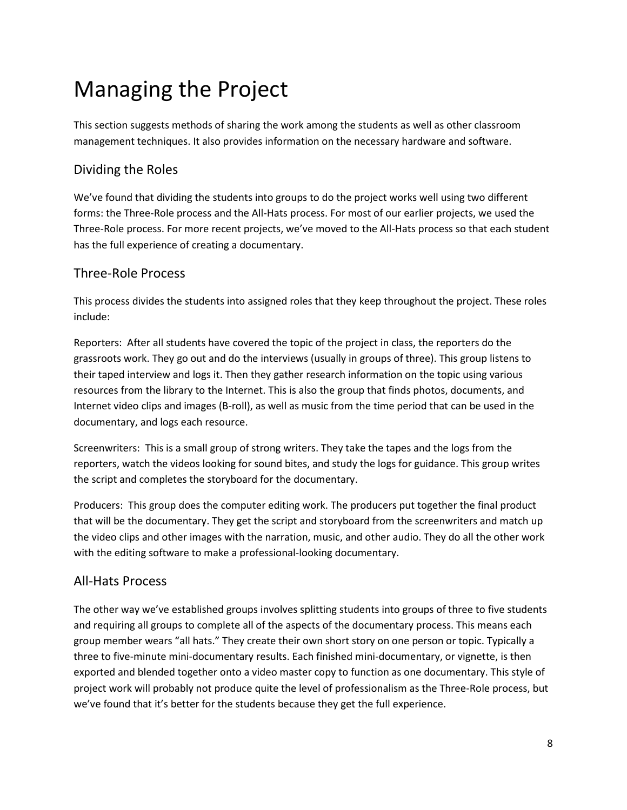## Managing the Project

This section suggests methods of sharing the work among the students as well as other classroom management techniques. It also provides information on the necessary hardware and software.

### Dividing the Roles

We've found that dividing the students into groups to do the project works well using two different forms: the Three-Role process and the All-Hats process. For most of our earlier projects, we used the Three-Role process. For more recent projects, we've moved to the All-Hats process so that each student has the full experience of creating a documentary.

### Three-Role Process

This process divides the students into assigned roles that they keep throughout the project. These roles include:

Reporters: After all students have covered the topic of the project in class, the reporters do the grassroots work. They go out and do the interviews (usually in groups of three). This group listens to their taped interview and logs it. Then they gather research information on the topic using various resources from the library to the Internet. This is also the group that finds photos, documents, and Internet video clips and images (B-roll), as well as music from the time period that can be used in the documentary, and logs each resource.

Screenwriters: This is a small group of strong writers. They take the tapes and the logs from the reporters, watch the videos looking for sound bites, and study the logs for guidance. This group writes the script and completes the storyboard for the documentary.

Producers: This group does the computer editing work. The producers put together the final product that will be the documentary. They get the script and storyboard from the screenwriters and match up the video clips and other images with the narration, music, and other audio. They do all the other work with the editing software to make a professional-looking documentary.

#### All-Hats Process

The other way we've established groups involves splitting students into groups of three to five students and requiring all groups to complete all of the aspects of the documentary process. This means each group member wears "all hats." They create their own short story on one person or topic. Typically a three to five-minute mini-documentary results. Each finished mini-documentary, or vignette, is then exported and blended together onto a video master copy to function as one documentary. This style of project work will probably not produce quite the level of professionalism as the Three-Role process, but we've found that it's better for the students because they get the full experience.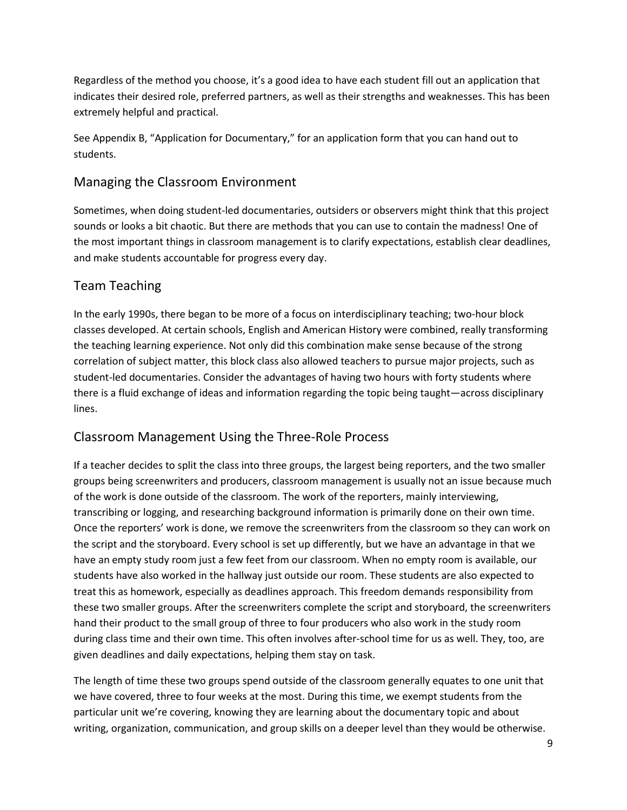Regardless of the method you choose, it's a good idea to have each student fill out an application that indicates their desired role, preferred partners, as well as their strengths and weaknesses. This has been extremely helpful and practical.

See Appendix B, "Application for Documentary," for an application form that you can hand out to students.

#### Managing the Classroom Environment

Sometimes, when doing student-led documentaries, outsiders or observers might think that this project sounds or looks a bit chaotic. But there are methods that you can use to contain the madness! One of the most important things in classroom management is to clarify expectations, establish clear deadlines, and make students accountable for progress every day.

#### Team Teaching

In the early 1990s, there began to be more of a focus on interdisciplinary teaching; two-hour block classes developed. At certain schools, English and American History were combined, really transforming the teaching learning experience. Not only did this combination make sense because of the strong correlation of subject matter, this block class also allowed teachers to pursue major projects, such as student-led documentaries. Consider the advantages of having two hours with forty students where there is a fluid exchange of ideas and information regarding the topic being taught—across disciplinary lines.

#### Classroom Management Using the Three-Role Process

If a teacher decides to split the class into three groups, the largest being reporters, and the two smaller groups being screenwriters and producers, classroom management is usually not an issue because much of the work is done outside of the classroom. The work of the reporters, mainly interviewing, transcribing or logging, and researching background information is primarily done on their own time. Once the reporters' work is done, we remove the screenwriters from the classroom so they can work on the script and the storyboard. Every school is set up differently, but we have an advantage in that we have an empty study room just a few feet from our classroom. When no empty room is available, our students have also worked in the hallway just outside our room. These students are also expected to treat this as homework, especially as deadlines approach. This freedom demands responsibility from these two smaller groups. After the screenwriters complete the script and storyboard, the screenwriters hand their product to the small group of three to four producers who also work in the study room during class time and their own time. This often involves after-school time for us as well. They, too, are given deadlines and daily expectations, helping them stay on task.

The length of time these two groups spend outside of the classroom generally equates to one unit that we have covered, three to four weeks at the most. During this time, we exempt students from the particular unit we're covering, knowing they are learning about the documentary topic and about writing, organization, communication, and group skills on a deeper level than they would be otherwise.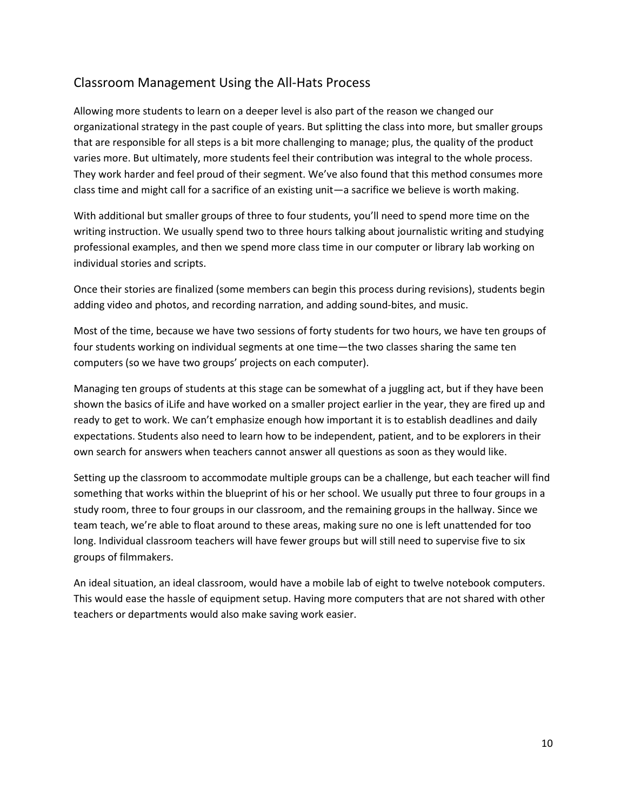### Classroom Management Using the All-Hats Process

Allowing more students to learn on a deeper level is also part of the reason we changed our organizational strategy in the past couple of years. But splitting the class into more, but smaller groups that are responsible for all steps is a bit more challenging to manage; plus, the quality of the product varies more. But ultimately, more students feel their contribution was integral to the whole process. They work harder and feel proud of their segment. We've also found that this method consumes more class time and might call for a sacrifice of an existing unit—a sacrifice we believe is worth making.

With additional but smaller groups of three to four students, you'll need to spend more time on the writing instruction. We usually spend two to three hours talking about journalistic writing and studying professional examples, and then we spend more class time in our computer or library lab working on individual stories and scripts.

Once their stories are finalized (some members can begin this process during revisions), students begin adding video and photos, and recording narration, and adding sound-bites, and music.

Most of the time, because we have two sessions of forty students for two hours, we have ten groups of four students working on individual segments at one time—the two classes sharing the same ten computers (so we have two groups' projects on each computer).

Managing ten groups of students at this stage can be somewhat of a juggling act, but if they have been shown the basics of iLife and have worked on a smaller project earlier in the year, they are fired up and ready to get to work. We can't emphasize enough how important it is to establish deadlines and daily expectations. Students also need to learn how to be independent, patient, and to be explorers in their own search for answers when teachers cannot answer all questions as soon as they would like.

Setting up the classroom to accommodate multiple groups can be a challenge, but each teacher will find something that works within the blueprint of his or her school. We usually put three to four groups in a study room, three to four groups in our classroom, and the remaining groups in the hallway. Since we team teach, we're able to float around to these areas, making sure no one is left unattended for too long. Individual classroom teachers will have fewer groups but will still need to supervise five to six groups of filmmakers.

An ideal situation, an ideal classroom, would have a mobile lab of eight to twelve notebook computers. This would ease the hassle of equipment setup. Having more computers that are not shared with other teachers or departments would also make saving work easier.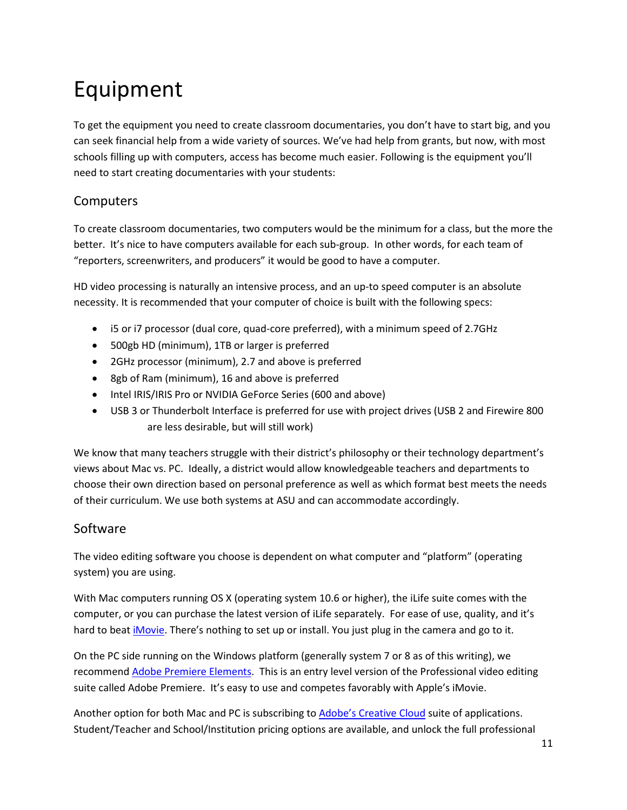## Equipment

To get the equipment you need to create classroom documentaries, you don't have to start big, and you can seek financial help from a wide variety of sources. We've had help from grants, but now, with most schools filling up with computers, access has become much easier. Following is the equipment you'll need to start creating documentaries with your students:

### **Computers**

To create classroom documentaries, two computers would be the minimum for a class, but the more the better. It's nice to have computers available for each sub-group. In other words, for each team of "reporters, screenwriters, and producers" it would be good to have a computer.

HD video processing is naturally an intensive process, and an up-to speed computer is an absolute necessity. It is recommended that your computer of choice is built with the following specs:

- i5 or i7 processor (dual core, quad-core preferred), with a minimum speed of 2.7GHz
- 500gb HD (minimum), 1TB or larger is preferred
- 2GHz processor (minimum), 2.7 and above is preferred
- 8gb of Ram (minimum), 16 and above is preferred
- Intel IRIS/IRIS Pro or NVIDIA GeForce Series (600 and above)
- USB 3 or Thunderbolt Interface is preferred for use with project drives (USB 2 and Firewire 800 are less desirable, but will still work)

We know that many teachers struggle with their district's philosophy or their technology department's views about Mac vs. PC. Ideally, a district would allow knowledgeable teachers and departments to choose their own direction based on personal preference as well as which format best meets the needs of their curriculum. We use both systems at ASU and can accommodate accordingly.

### Software

The video editing software you choose is dependent on what computer and "platform" (operating system) you are using.

With Mac computers running OS X (operating system 10.6 or higher), the iLife suite comes with the computer, or you can purchase the latest version of iLife separately. For ease of use, quality, and it's hard to beat *iMovie*. There's nothing to set up or install. You just plug in the camera and go to it.

On the PC side running on the Windows platform (generally system 7 or 8 as of this writing), we recommend [Adobe Premiere Elements.](http://www.adobe.com/products/premiere-elements.html) This is an entry level version of the Professional video editing suite called Adobe Premiere. It's easy to use and competes favorably with Apple's iMovie.

Another option for both Mac and PC is subscribing t[o Adobe's Creative Cloud](mailto:https://creative.adobe.com/plans?subject=Adobe%20Creative%20Cloud) suite of applications. Student/Teacher and School/Institution pricing options are available, and unlock the full professional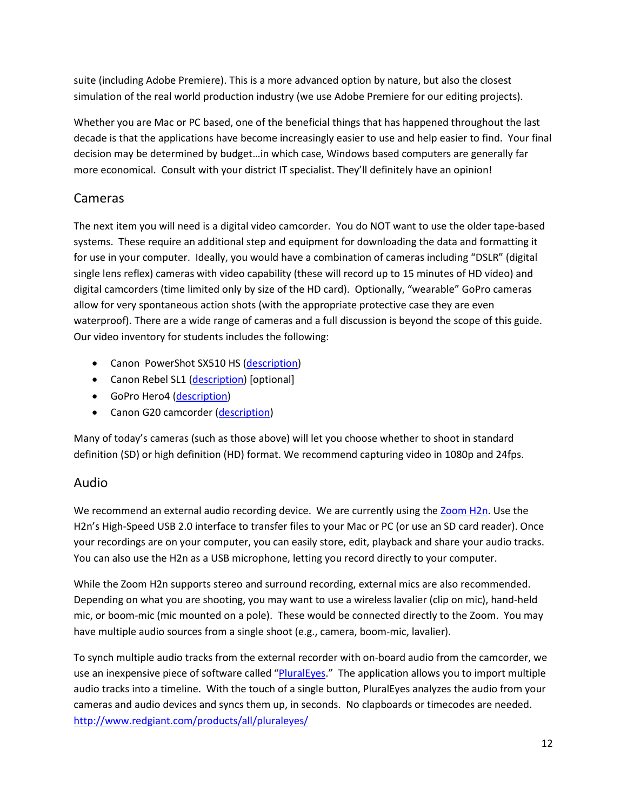suite (including Adobe Premiere). This is a more advanced option by nature, but also the closest simulation of the real world production industry (we use Adobe Premiere for our editing projects).

Whether you are Mac or PC based, one of the beneficial things that has happened throughout the last decade is that the applications have become increasingly easier to use and help easier to find. Your final decision may be determined by budget…in which case, Windows based computers are generally far more economical. Consult with your district IT specialist. They'll definitely have an opinion!

### Cameras

The next item you will need is a digital video camcorder. You do NOT want to use the older tape-based systems. These require an additional step and equipment for downloading the data and formatting it for use in your computer. Ideally, you would have a combination of cameras including "DSLR" (digital single lens reflex) cameras with video capability (these will record up to 15 minutes of HD video) and digital camcorders (time limited only by size of the HD card). Optionally, "wearable" GoPro cameras allow for very spontaneous action shots (with the appropriate protective case they are even waterproof). There are a wide range of cameras and a full discussion is beyond the scope of this guide. Our video inventory for students includes the following:

- Canon PowerShot SX510 HS [\(description\)](http://shop.usa.canon.com/shop/en/catalog/cameras/powershot-sx-series-digital-cameras/powershot-sx510-hs)
- Canon Rebel SL1 [\(description\)](mailto:http://www.usa.canon.com/cusa/consumer/products/cameras/slr_cameras/eos_rebel_sl1_18_55mm_is_stm_lens_kit?subject=Canon%20SL1) [optional]
- GoPro Hero4 [\(description\)](http://shop.gopro.com/hero4/hero4-silver/CHDHY-401.html)
- Canon G20 camcorder [\(description\)](http://shop.usa.canon.com/shop/en/catalog/camcorders/consumer-camcorders/vixia-hf-g20?gclid=CjwKEAiAh7WkBRCQj-_zwZvk52ISJADj7z8CfiloW3guwd7tXItVamUyEavLEIQMhm2vDH253G8YYhoCdpfw_wcB&cm_mmc=GA-_-CameraGroup-_-130913Brand%20Paid%20Search-_-Canon%20G20)

Many of today's cameras (such as those above) will let you choose whether to shoot in standard definition (SD) or high definition (HD) format. We recommend capturing video in 1080p and 24fps.

#### Audio

We recommend an external audio recording device. We are currently using the [Zoom H2n.](mailto:http://www.zoom.co.jp/products/h2n%20%20?subject=Zoom%20H2) Use the H2n's High-Speed USB 2.0 interface to transfer files to your Mac or PC (or use an SD card reader). Once your recordings are on your computer, you can easily store, edit, playback and share your audio tracks. You can also use the H2n as a USB microphone, letting you record directly to your computer.

While the Zoom H2n supports stereo and surround recording, external mics are also recommended. Depending on what you are shooting, you may want to use a wireless lavalier (clip on mic), hand-held mic, or boom-mic (mic mounted on a pole). These would be connected directly to the Zoom. You may have multiple audio sources from a single shoot (e.g., camera, boom-mic, lavalier).

To synch multiple audio tracks from the external recorder with on-board audio from the camcorder, we use an inexpensive piece of software called ["PluralEyes.](mailto:http://www.redgiant.com/products/all/pluraleyes/?subject=Plural%20Eyes)" The application allows you to import multiple audio tracks into a timeline. With the touch of a single button, PluralEyes analyzes the audio from your cameras and audio devices and syncs them up, in seconds. No clapboards or timecodes are needed. <http://www.redgiant.com/products/all/pluraleyes/>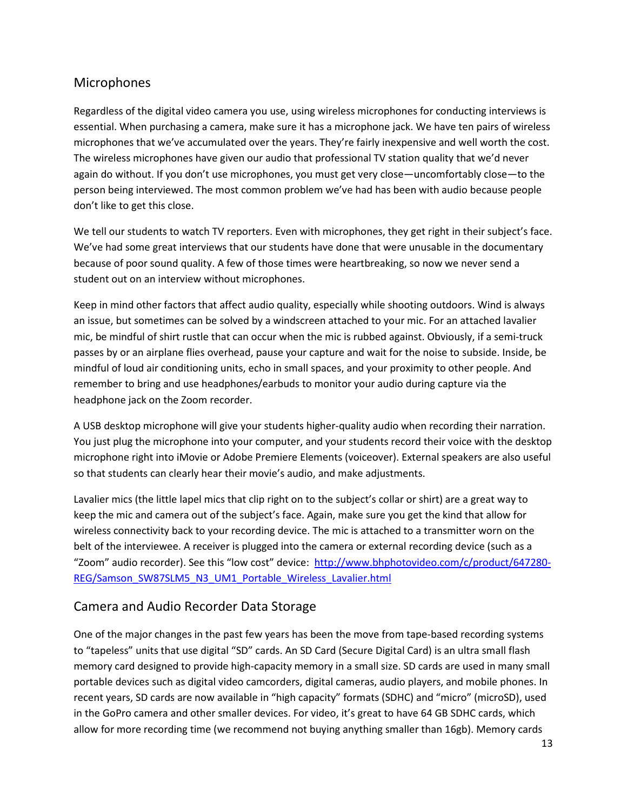### Microphones

Regardless of the digital video camera you use, using wireless microphones for conducting interviews is essential. When purchasing a camera, make sure it has a microphone jack. We have ten pairs of wireless microphones that we've accumulated over the years. They're fairly inexpensive and well worth the cost. The wireless microphones have given our audio that professional TV station quality that we'd never again do without. If you don't use microphones, you must get very close—uncomfortably close—to the person being interviewed. The most common problem we've had has been with audio because people don't like to get this close.

We tell our students to watch TV reporters. Even with microphones, they get right in their subject's face. We've had some great interviews that our students have done that were unusable in the documentary because of poor sound quality. A few of those times were heartbreaking, so now we never send a student out on an interview without microphones.

Keep in mind other factors that affect audio quality, especially while shooting outdoors. Wind is always an issue, but sometimes can be solved by a windscreen attached to your mic. For an attached lavalier mic, be mindful of shirt rustle that can occur when the mic is rubbed against. Obviously, if a semi-truck passes by or an airplane flies overhead, pause your capture and wait for the noise to subside. Inside, be mindful of loud air conditioning units, echo in small spaces, and your proximity to other people. And remember to bring and use headphones/earbuds to monitor your audio during capture via the headphone jack on the Zoom recorder.

A USB desktop microphone will give your students higher-quality audio when recording their narration. You just plug the microphone into your computer, and your students record their voice with the desktop microphone right into iMovie or Adobe Premiere Elements (voiceover). External speakers are also useful so that students can clearly hear their movie's audio, and make adjustments.

Lavalier mics (the little lapel mics that clip right on to the subject's collar or shirt) are a great way to keep the mic and camera out of the subject's face. Again, make sure you get the kind that allow for wireless connectivity back to your recording device. The mic is attached to a transmitter worn on the belt of the interviewee. A receiver is plugged into the camera or external recording device (such as a "Zoom" audio recorder). See this "low cost" device: [http://www.bhphotovideo.com/c/product/647280-](http://www.bhphotovideo.com/c/product/647280-REG/Samson_SW87SLM5_N3_UM1_Portable_Wireless_Lavalier.html) [REG/Samson\\_SW87SLM5\\_N3\\_UM1\\_Portable\\_Wireless\\_Lavalier.html](http://www.bhphotovideo.com/c/product/647280-REG/Samson_SW87SLM5_N3_UM1_Portable_Wireless_Lavalier.html)

#### Camera and Audio Recorder Data Storage

One of the major changes in the past few years has been the move from tape-based recording systems to "tapeless" units that use digital "SD" cards. An SD Card (Secure Digital Card) is an ultra small flash memory card designed to provide high-capacity memory in a small size. SD cards are used in many small portable devices such as digital video camcorders, digital cameras, audio players, and mobile phones. In recent years, SD cards are now available in "high capacity" formats (SDHC) and "micro" (microSD), used in the GoPro camera and other smaller devices. For video, it's great to have 64 GB SDHC cards, which allow for more recording time (we recommend not buying anything smaller than 16gb). Memory cards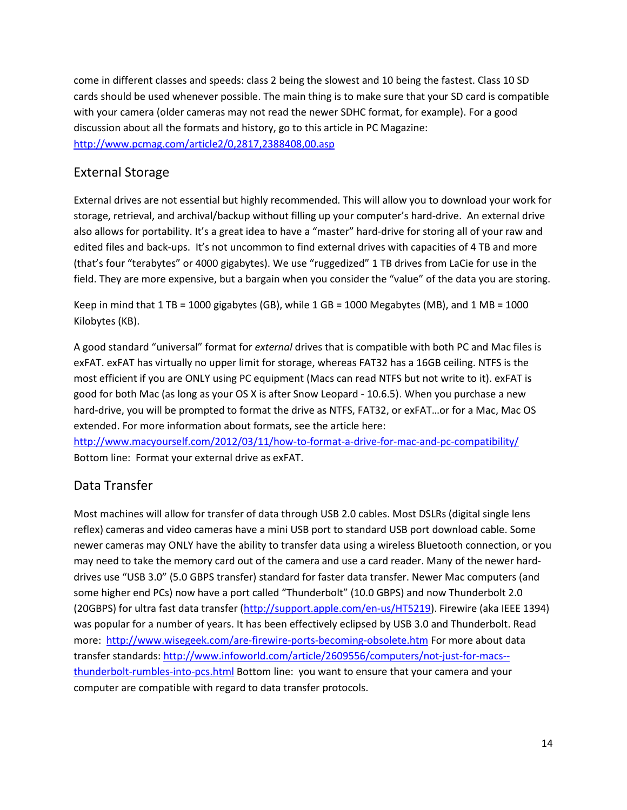come in different classes and speeds: class 2 being the slowest and 10 being the fastest. Class 10 SD cards should be used whenever possible. The main thing is to make sure that your SD card is compatible with your camera (older cameras may not read the newer SDHC format, for example). For a good discussion about all the formats and history, go to this article in PC Magazine: <http://www.pcmag.com/article2/0,2817,2388408,00.asp>

### External Storage

External drives are not essential but highly recommended. This will allow you to download your work for storage, retrieval, and archival/backup without filling up your computer's hard-drive. An external drive also allows for portability. It's a great idea to have a "master" hard-drive for storing all of your raw and edited files and back-ups. It's not uncommon to find external drives with capacities of 4 TB and more (that's four "terabytes" or 4000 gigabytes). We use "ruggedized" 1 TB drives from LaCie for use in the field. They are more expensive, but a bargain when you consider the "value" of the data you are storing.

Keep in mind that  $1 \text{ TB} = 1000$  gigabytes (GB), while  $1 \text{ GB} = 1000$  Megabytes (MB), and  $1 \text{ MB} = 1000$ Kilobytes (KB).

A good standard "universal" format for *external* drives that is compatible with both PC and Mac files is exFAT. exFAT has virtually no upper limit for storage, whereas FAT32 has a 16GB ceiling. NTFS is the most efficient if you are ONLY using PC equipment (Macs can read NTFS but not write to it). exFAT is good for both Mac (as long as your OS X is after Snow Leopard - 10.6.5). When you purchase a new hard-drive, you will be prompted to format the drive as NTFS, FAT32, or exFAT…or for a Mac, Mac OS extended. For more information about formats, see the article here:

<http://www.macyourself.com/2012/03/11/how-to-format-a-drive-for-mac-and-pc-compatibility/> Bottom line: Format your external drive as exFAT.

### Data Transfer

Most machines will allow for transfer of data through USB 2.0 cables. Most DSLRs (digital single lens reflex) cameras and video cameras have a mini USB port to standard USB port download cable. Some newer cameras may ONLY have the ability to transfer data using a wireless Bluetooth connection, or you may need to take the memory card out of the camera and use a card reader. Many of the newer harddrives use "USB 3.0" (5.0 GBPS transfer) standard for faster data transfer. Newer Mac computers (and some higher end PCs) now have a port called "Thunderbolt" (10.0 GBPS) and now Thunderbolt 2.0 (20GBPS) for ultra fast data transfer [\(http://support.apple.com/en-us/HT5219\)](http://support.apple.com/en-us/HT5219). Firewire (aka IEEE 1394) was popular for a number of years. It has been effectively eclipsed by USB 3.0 and Thunderbolt. Read more: <http://www.wisegeek.com/are-firewire-ports-becoming-obsolete.htm> For more about data transfer standards: [http://www.infoworld.com/article/2609556/computers/not-just-for-macs-](http://www.infoworld.com/article/2609556/computers/not-just-for-macs--thunderbolt-rumbles-into-pcs.html) [thunderbolt-rumbles-into-pcs.html](http://www.infoworld.com/article/2609556/computers/not-just-for-macs--thunderbolt-rumbles-into-pcs.html) Bottom line: you want to ensure that your camera and your computer are compatible with regard to data transfer protocols.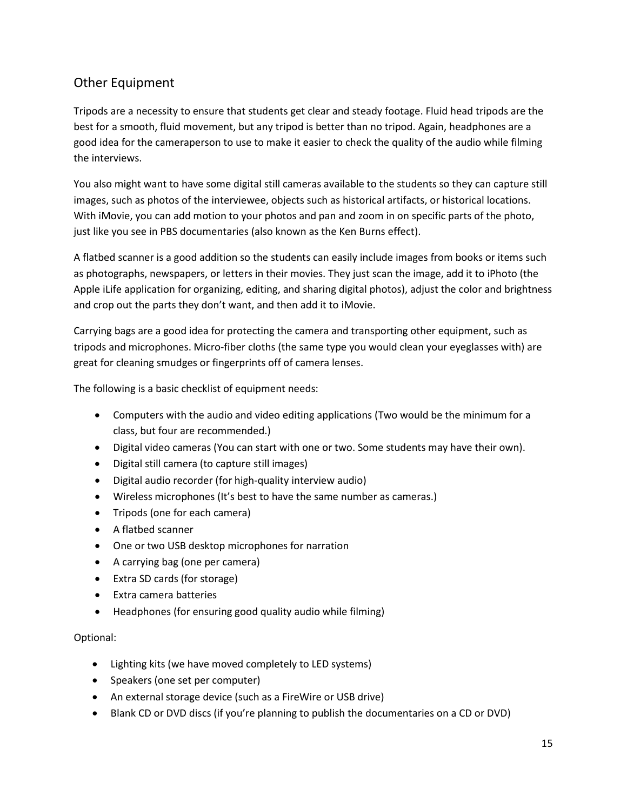### Other Equipment

Tripods are a necessity to ensure that students get clear and steady footage. Fluid head tripods are the best for a smooth, fluid movement, but any tripod is better than no tripod. Again, headphones are a good idea for the cameraperson to use to make it easier to check the quality of the audio while filming the interviews.

You also might want to have some digital still cameras available to the students so they can capture still images, such as photos of the interviewee, objects such as historical artifacts, or historical locations. With iMovie, you can add motion to your photos and pan and zoom in on specific parts of the photo, just like you see in PBS documentaries (also known as the Ken Burns effect).

A flatbed scanner is a good addition so the students can easily include images from books or items such as photographs, newspapers, or letters in their movies. They just scan the image, add it to iPhoto (the Apple iLife application for organizing, editing, and sharing digital photos), adjust the color and brightness and crop out the parts they don't want, and then add it to iMovie.

Carrying bags are a good idea for protecting the camera and transporting other equipment, such as tripods and microphones. Micro-fiber cloths (the same type you would clean your eyeglasses with) are great for cleaning smudges or fingerprints off of camera lenses.

The following is a basic checklist of equipment needs:

- Computers with the audio and video editing applications (Two would be the minimum for a class, but four are recommended.)
- Digital video cameras (You can start with one or two. Some students may have their own).
- Digital still camera (to capture still images)
- Digital audio recorder (for high-quality interview audio)
- Wireless microphones (It's best to have the same number as cameras.)
- Tripods (one for each camera)
- A flatbed scanner
- One or two USB desktop microphones for narration
- A carrying bag (one per camera)
- Extra SD cards (for storage)
- Extra camera batteries
- Headphones (for ensuring good quality audio while filming)

#### Optional:

- Lighting kits (we have moved completely to LED systems)
- Speakers (one set per computer)
- An external storage device (such as a FireWire or USB drive)
- Blank CD or DVD discs (if you're planning to publish the documentaries on a CD or DVD)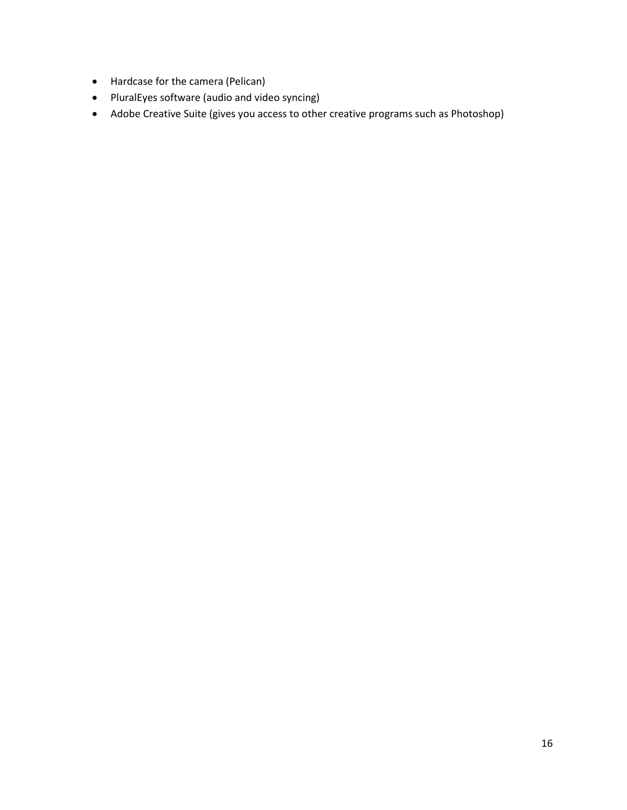- Hardcase for the camera (Pelican)
- PluralEyes software (audio and video syncing)
- Adobe Creative Suite (gives you access to other creative programs such as Photoshop)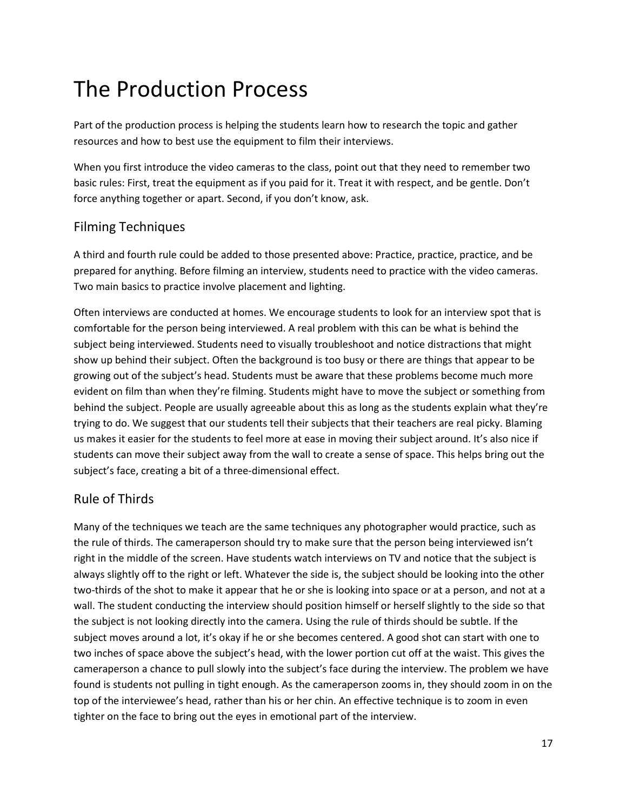## The Production Process

Part of the production process is helping the students learn how to research the topic and gather resources and how to best use the equipment to film their interviews.

When you first introduce the video cameras to the class, point out that they need to remember two basic rules: First, treat the equipment as if you paid for it. Treat it with respect, and be gentle. Don't force anything together or apart. Second, if you don't know, ask.

### Filming Techniques

A third and fourth rule could be added to those presented above: Practice, practice, practice, and be prepared for anything. Before filming an interview, students need to practice with the video cameras. Two main basics to practice involve placement and lighting.

Often interviews are conducted at homes. We encourage students to look for an interview spot that is comfortable for the person being interviewed. A real problem with this can be what is behind the subject being interviewed. Students need to visually troubleshoot and notice distractions that might show up behind their subject. Often the background is too busy or there are things that appear to be growing out of the subject's head. Students must be aware that these problems become much more evident on film than when they're filming. Students might have to move the subject or something from behind the subject. People are usually agreeable about this as long as the students explain what they're trying to do. We suggest that our students tell their subjects that their teachers are real picky. Blaming us makes it easier for the students to feel more at ease in moving their subject around. It's also nice if students can move their subject away from the wall to create a sense of space. This helps bring out the subject's face, creating a bit of a three-dimensional effect.

#### Rule of Thirds

Many of the techniques we teach are the same techniques any photographer would practice, such as the rule of thirds. The cameraperson should try to make sure that the person being interviewed isn't right in the middle of the screen. Have students watch interviews on TV and notice that the subject is always slightly off to the right or left. Whatever the side is, the subject should be looking into the other two-thirds of the shot to make it appear that he or she is looking into space or at a person, and not at a wall. The student conducting the interview should position himself or herself slightly to the side so that the subject is not looking directly into the camera. Using the rule of thirds should be subtle. If the subject moves around a lot, it's okay if he or she becomes centered. A good shot can start with one to two inches of space above the subject's head, with the lower portion cut off at the waist. This gives the cameraperson a chance to pull slowly into the subject's face during the interview. The problem we have found is students not pulling in tight enough. As the cameraperson zooms in, they should zoom in on the top of the interviewee's head, rather than his or her chin. An effective technique is to zoom in even tighter on the face to bring out the eyes in emotional part of the interview.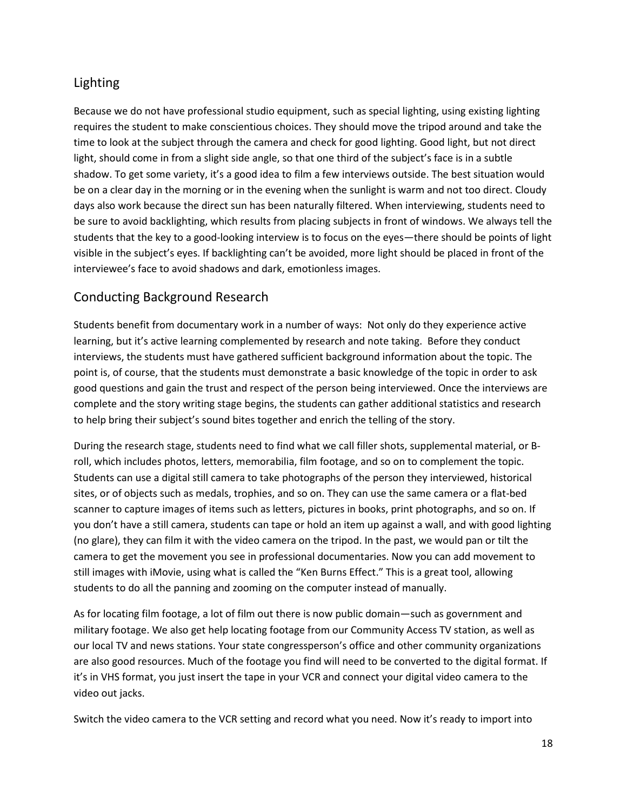### Lighting

Because we do not have professional studio equipment, such as special lighting, using existing lighting requires the student to make conscientious choices. They should move the tripod around and take the time to look at the subject through the camera and check for good lighting. Good light, but not direct light, should come in from a slight side angle, so that one third of the subject's face is in a subtle shadow. To get some variety, it's a good idea to film a few interviews outside. The best situation would be on a clear day in the morning or in the evening when the sunlight is warm and not too direct. Cloudy days also work because the direct sun has been naturally filtered. When interviewing, students need to be sure to avoid backlighting, which results from placing subjects in front of windows. We always tell the students that the key to a good-looking interview is to focus on the eyes—there should be points of light visible in the subject's eyes. If backlighting can't be avoided, more light should be placed in front of the interviewee's face to avoid shadows and dark, emotionless images.

### Conducting Background Research

Students benefit from documentary work in a number of ways: Not only do they experience active learning, but it's active learning complemented by research and note taking. Before they conduct interviews, the students must have gathered sufficient background information about the topic. The point is, of course, that the students must demonstrate a basic knowledge of the topic in order to ask good questions and gain the trust and respect of the person being interviewed. Once the interviews are complete and the story writing stage begins, the students can gather additional statistics and research to help bring their subject's sound bites together and enrich the telling of the story.

During the research stage, students need to find what we call filler shots, supplemental material, or Broll, which includes photos, letters, memorabilia, film footage, and so on to complement the topic. Students can use a digital still camera to take photographs of the person they interviewed, historical sites, or of objects such as medals, trophies, and so on. They can use the same camera or a flat-bed scanner to capture images of items such as letters, pictures in books, print photographs, and so on. If you don't have a still camera, students can tape or hold an item up against a wall, and with good lighting (no glare), they can film it with the video camera on the tripod. In the past, we would pan or tilt the camera to get the movement you see in professional documentaries. Now you can add movement to still images with iMovie, using what is called the "Ken Burns Effect." This is a great tool, allowing students to do all the panning and zooming on the computer instead of manually.

As for locating film footage, a lot of film out there is now public domain—such as government and military footage. We also get help locating footage from our Community Access TV station, as well as our local TV and news stations. Your state congressperson's office and other community organizations are also good resources. Much of the footage you find will need to be converted to the digital format. If it's in VHS format, you just insert the tape in your VCR and connect your digital video camera to the video out jacks.

Switch the video camera to the VCR setting and record what you need. Now it's ready to import into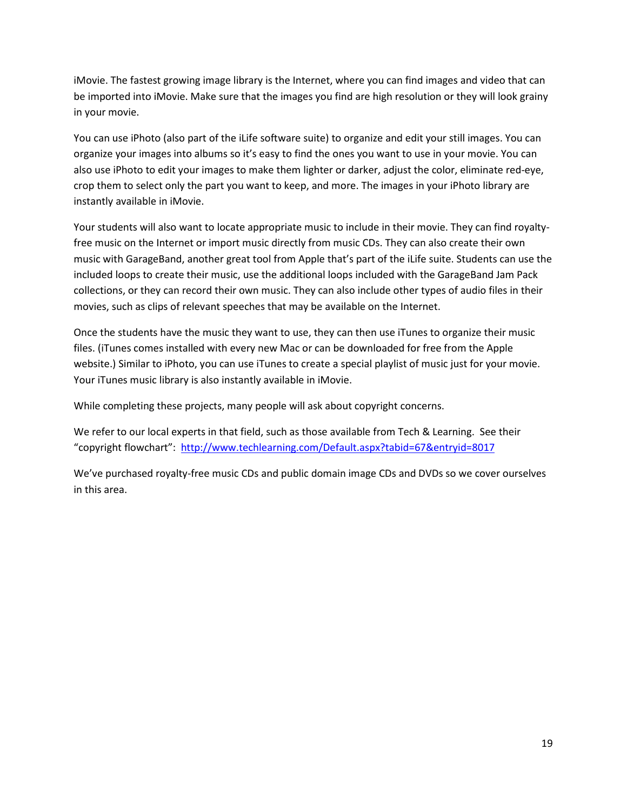iMovie. The fastest growing image library is the Internet, where you can find images and video that can be imported into iMovie. Make sure that the images you find are high resolution or they will look grainy in your movie.

You can use iPhoto (also part of the iLife software suite) to organize and edit your still images. You can organize your images into albums so it's easy to find the ones you want to use in your movie. You can also use iPhoto to edit your images to make them lighter or darker, adjust the color, eliminate red-eye, crop them to select only the part you want to keep, and more. The images in your iPhoto library are instantly available in iMovie.

Your students will also want to locate appropriate music to include in their movie. They can find royaltyfree music on the Internet or import music directly from music CDs. They can also create their own music with GarageBand, another great tool from Apple that's part of the iLife suite. Students can use the included loops to create their music, use the additional loops included with the GarageBand Jam Pack collections, or they can record their own music. They can also include other types of audio files in their movies, such as clips of relevant speeches that may be available on the Internet.

Once the students have the music they want to use, they can then use iTunes to organize their music files. (iTunes comes installed with every new Mac or can be downloaded for free from the Apple website.) Similar to iPhoto, you can use iTunes to create a special playlist of music just for your movie. Your iTunes music library is also instantly available in iMovie.

While completing these projects, many people will ask about copyright concerns.

We refer to our local experts in that field, such as those available from Tech & Learning. See their "copyright flowchart":<http://www.techlearning.com/Default.aspx?tabid=67&entryid=8017>

We've purchased royalty-free music CDs and public domain image CDs and DVDs so we cover ourselves in this area.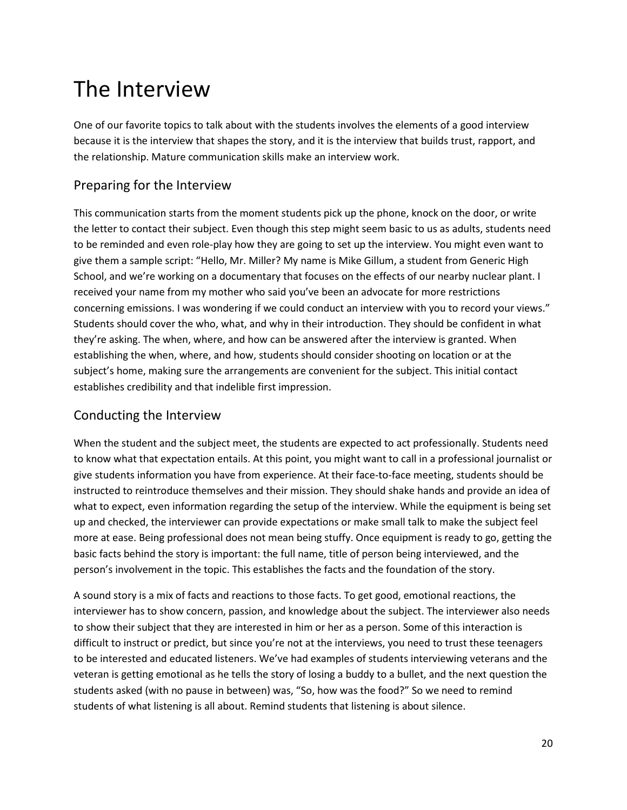## The Interview

One of our favorite topics to talk about with the students involves the elements of a good interview because it is the interview that shapes the story, and it is the interview that builds trust, rapport, and the relationship. Mature communication skills make an interview work.

### Preparing for the Interview

This communication starts from the moment students pick up the phone, knock on the door, or write the letter to contact their subject. Even though this step might seem basic to us as adults, students need to be reminded and even role-play how they are going to set up the interview. You might even want to give them a sample script: "Hello, Mr. Miller? My name is Mike Gillum, a student from Generic High School, and we're working on a documentary that focuses on the effects of our nearby nuclear plant. I received your name from my mother who said you've been an advocate for more restrictions concerning emissions. I was wondering if we could conduct an interview with you to record your views." Students should cover the who, what, and why in their introduction. They should be confident in what they're asking. The when, where, and how can be answered after the interview is granted. When establishing the when, where, and how, students should consider shooting on location or at the subject's home, making sure the arrangements are convenient for the subject. This initial contact establishes credibility and that indelible first impression.

### Conducting the Interview

When the student and the subject meet, the students are expected to act professionally. Students need to know what that expectation entails. At this point, you might want to call in a professional journalist or give students information you have from experience. At their face-to-face meeting, students should be instructed to reintroduce themselves and their mission. They should shake hands and provide an idea of what to expect, even information regarding the setup of the interview. While the equipment is being set up and checked, the interviewer can provide expectations or make small talk to make the subject feel more at ease. Being professional does not mean being stuffy. Once equipment is ready to go, getting the basic facts behind the story is important: the full name, title of person being interviewed, and the person's involvement in the topic. This establishes the facts and the foundation of the story.

A sound story is a mix of facts and reactions to those facts. To get good, emotional reactions, the interviewer has to show concern, passion, and knowledge about the subject. The interviewer also needs to show their subject that they are interested in him or her as a person. Some of this interaction is difficult to instruct or predict, but since you're not at the interviews, you need to trust these teenagers to be interested and educated listeners. We've had examples of students interviewing veterans and the veteran is getting emotional as he tells the story of losing a buddy to a bullet, and the next question the students asked (with no pause in between) was, "So, how was the food?" So we need to remind students of what listening is all about. Remind students that listening is about silence.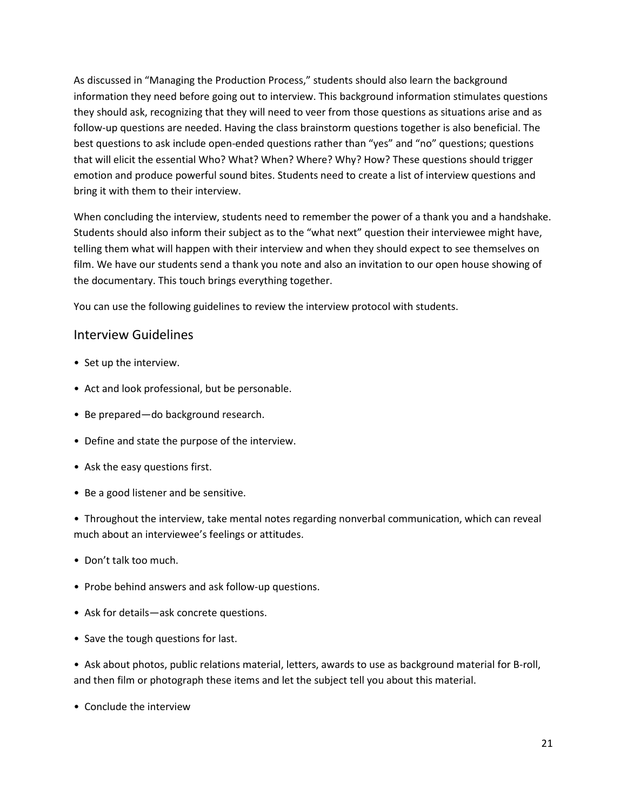As discussed in "Managing the Production Process," students should also learn the background information they need before going out to interview. This background information stimulates questions they should ask, recognizing that they will need to veer from those questions as situations arise and as follow-up questions are needed. Having the class brainstorm questions together is also beneficial. The best questions to ask include open-ended questions rather than "yes" and "no" questions; questions that will elicit the essential Who? What? When? Where? Why? How? These questions should trigger emotion and produce powerful sound bites. Students need to create a list of interview questions and bring it with them to their interview.

When concluding the interview, students need to remember the power of a thank you and a handshake. Students should also inform their subject as to the "what next" question their interviewee might have, telling them what will happen with their interview and when they should expect to see themselves on film. We have our students send a thank you note and also an invitation to our open house showing of the documentary. This touch brings everything together.

You can use the following guidelines to review the interview protocol with students.

#### Interview Guidelines

- Set up the interview.
- Act and look professional, but be personable.
- Be prepared—do background research.
- Define and state the purpose of the interview.
- Ask the easy questions first.
- Be a good listener and be sensitive.

• Throughout the interview, take mental notes regarding nonverbal communication, which can reveal much about an interviewee's feelings or attitudes.

- Don't talk too much.
- Probe behind answers and ask follow-up questions.
- Ask for details—ask concrete questions.
- Save the tough questions for last.

• Ask about photos, public relations material, letters, awards to use as background material for B-roll, and then film or photograph these items and let the subject tell you about this material.

• Conclude the interview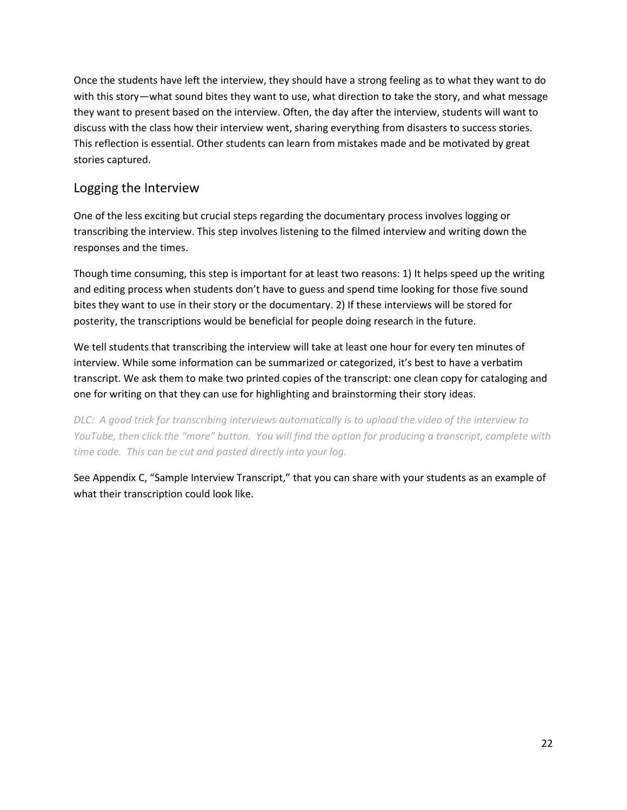Once the students have left the interview, they should have a strong feeling as to what they want to do with this story—what sound bites they want to use, what direction to take the story, and what message they want to present based on the interview. Often, the day after the interview, students will want to discuss with the class how their interview went, sharing everything from disasters to success stories. This reflection is essential. Other students can learn from mistakes made and be motivated by great stories captured.

### Logging the Interview

One of the less exciting but crucial steps regarding the documentary process involves logging or transcribing the interview. This step involves listening to the filmed interview and writing down the responses and the times.

Though time consuming, this step is important for at least two reasons: 1) It helps speed up the writing and editing process when students don't have to guess and spend time looking for those five sound bites they want to use in their story or the documentary. 2) If these interviews will be stored for posterity, the transcriptions would be beneficial for people doing research in the future.

We tell students that transcribing the interview will take at least one hour for every ten minutes of interview. While some information can be summarized or categorized, it's best to have a verbatim transcript. We ask them to make two printed copies of the transcript: one clean copy for cataloging and one for writing on that they can use for highlighting and brainstorming their story ideas.

*DLC: A good trick for transcribing interviews automatically is to upload the video of the interview to YouTube, then click the "more" button. You will find the option for producing a transcript, complete with time code. This can be cut and pasted directly into your log.*

See Appendix C, "Sample Interview Transcript," that you can share with your students as an example of what their transcription could look like.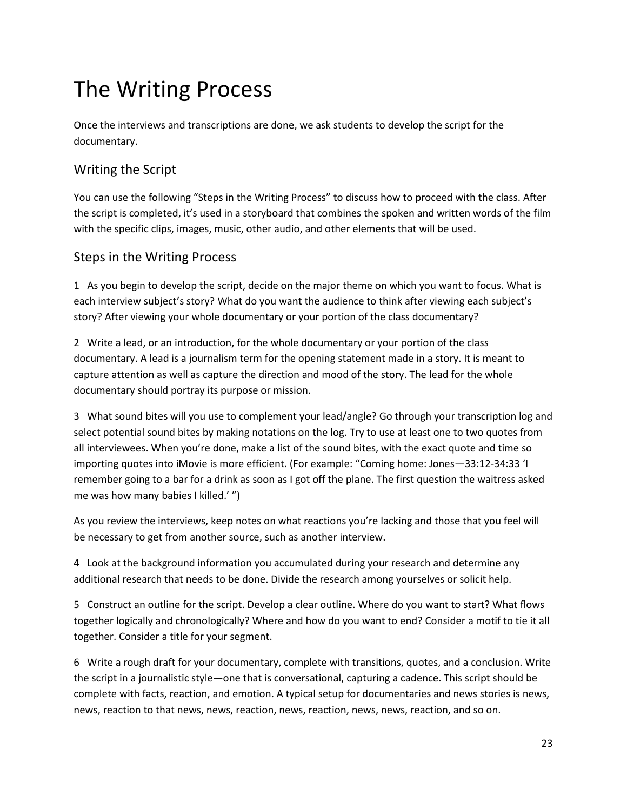## The Writing Process

Once the interviews and transcriptions are done, we ask students to develop the script for the documentary.

### Writing the Script

You can use the following "Steps in the Writing Process" to discuss how to proceed with the class. After the script is completed, it's used in a storyboard that combines the spoken and written words of the film with the specific clips, images, music, other audio, and other elements that will be used.

### Steps in the Writing Process

1 As you begin to develop the script, decide on the major theme on which you want to focus. What is each interview subject's story? What do you want the audience to think after viewing each subject's story? After viewing your whole documentary or your portion of the class documentary?

2 Write a lead, or an introduction, for the whole documentary or your portion of the class documentary. A lead is a journalism term for the opening statement made in a story. It is meant to capture attention as well as capture the direction and mood of the story. The lead for the whole documentary should portray its purpose or mission.

3 What sound bites will you use to complement your lead/angle? Go through your transcription log and select potential sound bites by making notations on the log. Try to use at least one to two quotes from all interviewees. When you're done, make a list of the sound bites, with the exact quote and time so importing quotes into iMovie is more efficient. (For example: "Coming home: Jones—33:12-34:33 'I remember going to a bar for a drink as soon as I got off the plane. The first question the waitress asked me was how many babies I killed.' ")

As you review the interviews, keep notes on what reactions you're lacking and those that you feel will be necessary to get from another source, such as another interview.

4 Look at the background information you accumulated during your research and determine any additional research that needs to be done. Divide the research among yourselves or solicit help.

5 Construct an outline for the script. Develop a clear outline. Where do you want to start? What flows together logically and chronologically? Where and how do you want to end? Consider a motif to tie it all together. Consider a title for your segment.

6 Write a rough draft for your documentary, complete with transitions, quotes, and a conclusion. Write the script in a journalistic style—one that is conversational, capturing a cadence. This script should be complete with facts, reaction, and emotion. A typical setup for documentaries and news stories is news, news, reaction to that news, news, reaction, news, reaction, news, news, reaction, and so on.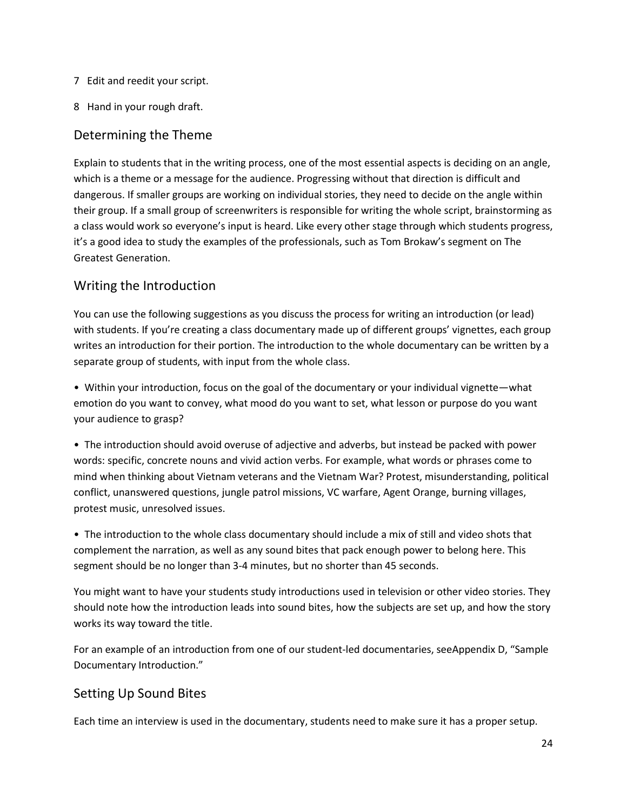- 7 Edit and reedit your script.
- 8 Hand in your rough draft.

#### Determining the Theme

Explain to students that in the writing process, one of the most essential aspects is deciding on an angle, which is a theme or a message for the audience. Progressing without that direction is difficult and dangerous. If smaller groups are working on individual stories, they need to decide on the angle within their group. If a small group of screenwriters is responsible for writing the whole script, brainstorming as a class would work so everyone's input is heard. Like every other stage through which students progress, it's a good idea to study the examples of the professionals, such as Tom Brokaw's segment on The Greatest Generation.

#### Writing the Introduction

You can use the following suggestions as you discuss the process for writing an introduction (or lead) with students. If you're creating a class documentary made up of different groups' vignettes, each group writes an introduction for their portion. The introduction to the whole documentary can be written by a separate group of students, with input from the whole class.

• Within your introduction, focus on the goal of the documentary or your individual vignette—what emotion do you want to convey, what mood do you want to set, what lesson or purpose do you want your audience to grasp?

• The introduction should avoid overuse of adjective and adverbs, but instead be packed with power words: specific, concrete nouns and vivid action verbs. For example, what words or phrases come to mind when thinking about Vietnam veterans and the Vietnam War? Protest, misunderstanding, political conflict, unanswered questions, jungle patrol missions, VC warfare, Agent Orange, burning villages, protest music, unresolved issues.

• The introduction to the whole class documentary should include a mix of still and video shots that complement the narration, as well as any sound bites that pack enough power to belong here. This segment should be no longer than 3-4 minutes, but no shorter than 45 seconds.

You might want to have your students study introductions used in television or other video stories. They should note how the introduction leads into sound bites, how the subjects are set up, and how the story works its way toward the title.

For an example of an introduction from one of our student-led documentaries, seeAppendix D, "Sample Documentary Introduction."

### Setting Up Sound Bites

Each time an interview is used in the documentary, students need to make sure it has a proper setup.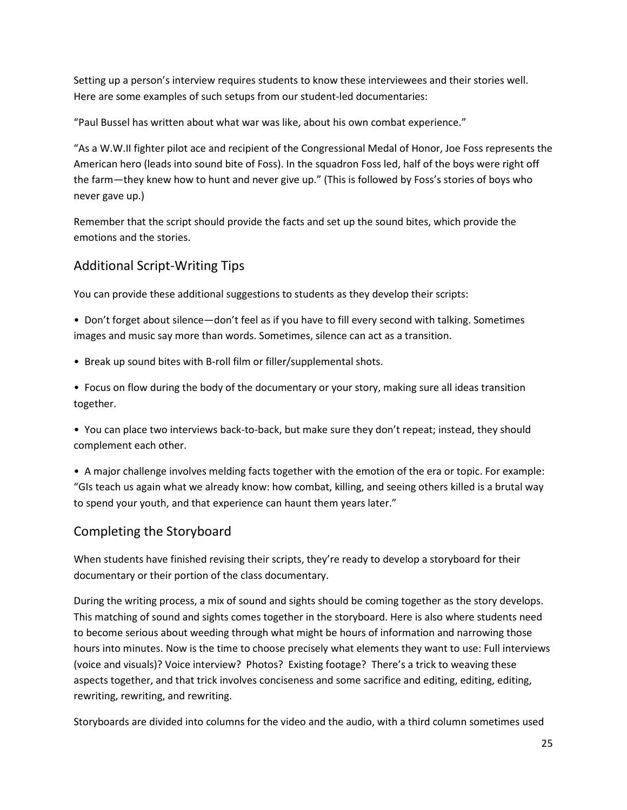Setting up a person's interview requires students to know these interviewees and their stories well. Here are some examples of such setups from our student-led documentaries:

"Paul Bussel has written about what war was like, about his own combat experience."

"As a W.W.II fighter pilot ace and recipient of the Congressional Medal of Honor, Joe Foss represents the American hero (leads into sound bite of Foss). In the squadron Foss led, half of the boys were right off the farm—they knew how to hunt and never give up." (This is followed by Foss's stories of boys who never gave up.)

Remember that the script should provide the facts and set up the sound bites, which provide the emotions and the stories.

#### Additional Script-Writing Tips

You can provide these additional suggestions to students as they develop their scripts:

• Don't forget about silence—don't feel as if you have to fill every second with talking. Sometimes images and music say more than words. Sometimes, silence can act as a transition.

• Break up sound bites with B-roll film or filler/supplemental shots.

• Focus on flow during the body of the documentary or your story, making sure all ideas transition together.

• You can place two interviews back-to-back, but make sure they don't repeat; instead, they should complement each other.

• A major challenge involves melding facts together with the emotion of the era or topic. For example: "GIs teach us again what we already know: how combat, killing, and seeing others killed is a brutal way to spend your youth, and that experience can haunt them years later."

### Completing the Storyboard

When students have finished revising their scripts, they're ready to develop a storyboard for their documentary or their portion of the class documentary.

During the writing process, a mix of sound and sights should be coming together as the story develops. This matching of sound and sights comes together in the storyboard. Here is also where students need to become serious about weeding through what might be hours of information and narrowing those hours into minutes. Now is the time to choose precisely what elements they want to use: Full interviews (voice and visuals)? Voice interview? Photos? Existing footage? There's a trick to weaving these aspects together, and that trick involves conciseness and some sacrifice and editing, editing, editing, rewriting, rewriting, and rewriting.

Storyboards are divided into columns for the video and the audio, with a third column sometimes used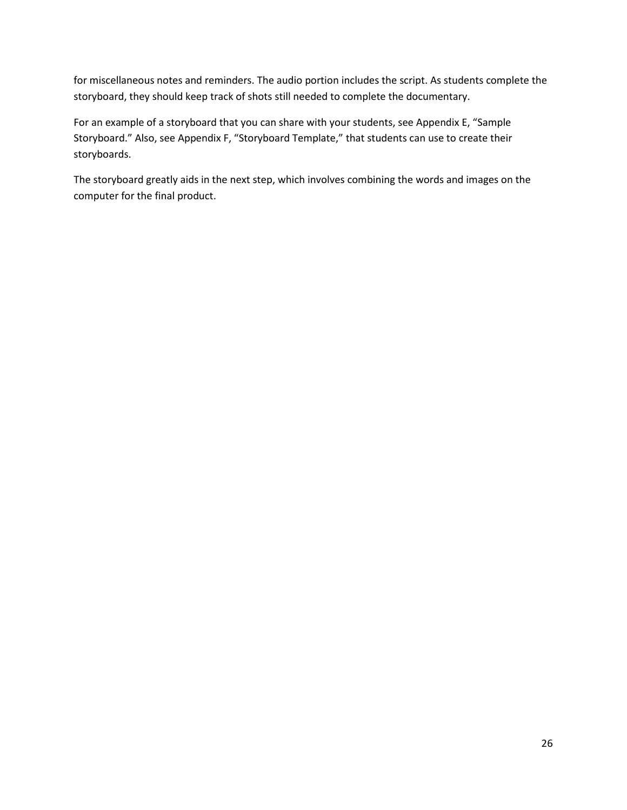for miscellaneous notes and reminders. The audio portion includes the script. As students complete the storyboard, they should keep track of shots still needed to complete the documentary.

For an example of a storyboard that you can share with your students, see Appendix E, "Sample Storyboard." Also, see Appendix F, "Storyboard Template," that students can use to create their storyboards.

The storyboard greatly aids in the next step, which involves combining the words and images on the computer for the final product.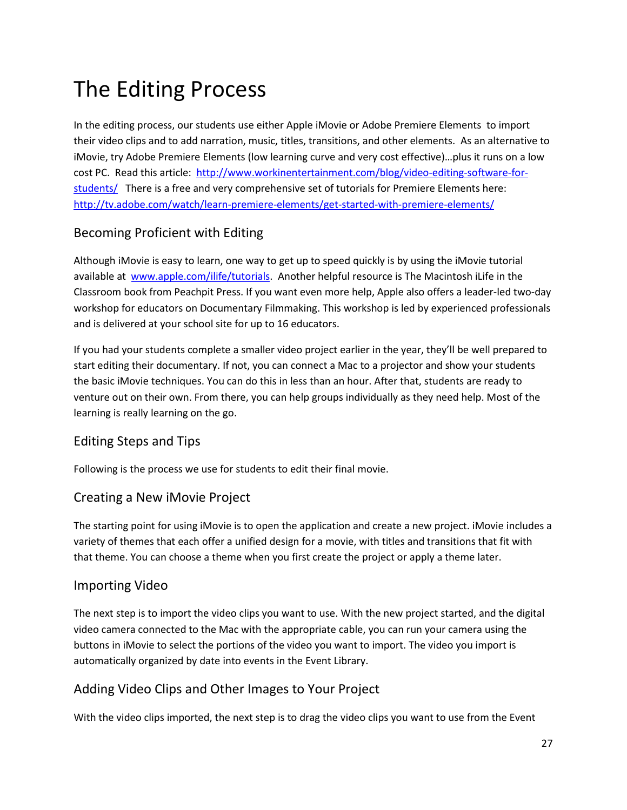## The Editing Process

In the editing process, our students use either Apple iMovie or Adobe Premiere Elements to import their video clips and to add narration, music, titles, transitions, and other elements. As an alternative to iMovie, try Adobe Premiere Elements (low learning curve and very cost effective)…plus it runs on a low cost PC. Read this article: [http://www.workinentertainment.com/blog/video-editing-software-for](http://www.workinentertainment.com/blog/video-editing-software-for-students/)[students/](http://www.workinentertainment.com/blog/video-editing-software-for-students/) There is a free and very comprehensive set of tutorials for Premiere Elements here: <http://tv.adobe.com/watch/learn-premiere-elements/get-started-with-premiere-elements/>

### Becoming Proficient with Editing

Although iMovie is easy to learn, one way to get up to speed quickly is by using the iMovie tutorial available at [www.apple.com/ilife/tutorials.](http://www.apple.com/ilife/tutorials/#imovie) Another helpful resource is The Macintosh iLife in the Classroom book from Peachpit Press. If you want even more help, Apple also offers a leader-led two-day workshop for educators on Documentary Filmmaking. This workshop is led by experienced professionals and is delivered at your school site for up to 16 educators.

If you had your students complete a smaller video project earlier in the year, they'll be well prepared to start editing their documentary. If not, you can connect a Mac to a projector and show your students the basic iMovie techniques. You can do this in less than an hour. After that, students are ready to venture out on their own. From there, you can help groups individually as they need help. Most of the learning is really learning on the go.

### Editing Steps and Tips

Following is the process we use for students to edit their final movie.

#### Creating a New iMovie Project

The starting point for using iMovie is to open the application and create a new project. iMovie includes a variety of themes that each offer a unified design for a movie, with titles and transitions that fit with that theme. You can choose a theme when you first create the project or apply a theme later.

#### Importing Video

The next step is to import the video clips you want to use. With the new project started, and the digital video camera connected to the Mac with the appropriate cable, you can run your camera using the buttons in iMovie to select the portions of the video you want to import. The video you import is automatically organized by date into events in the Event Library.

### Adding Video Clips and Other Images to Your Project

With the video clips imported, the next step is to drag the video clips you want to use from the Event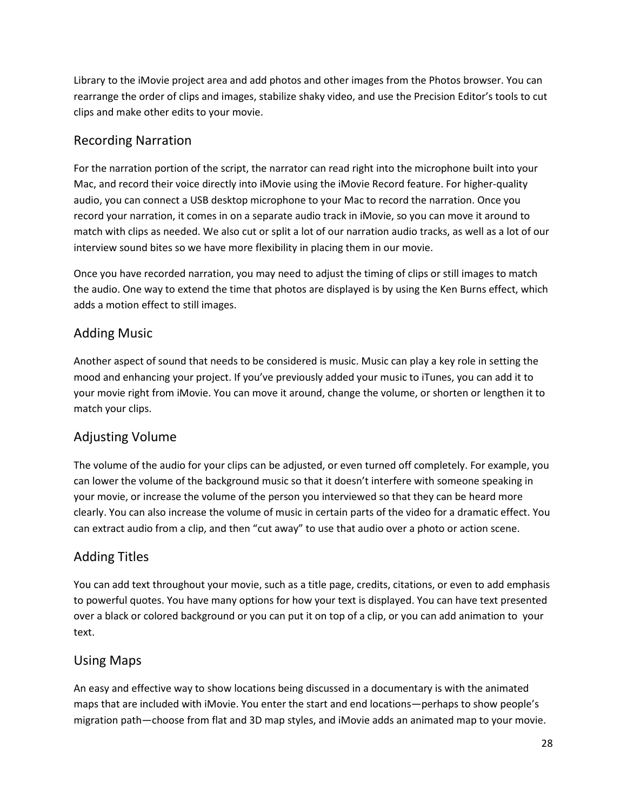Library to the iMovie project area and add photos and other images from the Photos browser. You can rearrange the order of clips and images, stabilize shaky video, and use the Precision Editor's tools to cut clips and make other edits to your movie.

### Recording Narration

For the narration portion of the script, the narrator can read right into the microphone built into your Mac, and record their voice directly into iMovie using the iMovie Record feature. For higher-quality audio, you can connect a USB desktop microphone to your Mac to record the narration. Once you record your narration, it comes in on a separate audio track in iMovie, so you can move it around to match with clips as needed. We also cut or split a lot of our narration audio tracks, as well as a lot of our interview sound bites so we have more flexibility in placing them in our movie.

Once you have recorded narration, you may need to adjust the timing of clips or still images to match the audio. One way to extend the time that photos are displayed is by using the Ken Burns effect, which adds a motion effect to still images.

### Adding Music

Another aspect of sound that needs to be considered is music. Music can play a key role in setting the mood and enhancing your project. If you've previously added your music to iTunes, you can add it to your movie right from iMovie. You can move it around, change the volume, or shorten or lengthen it to match your clips.

## Adjusting Volume

The volume of the audio for your clips can be adjusted, or even turned off completely. For example, you can lower the volume of the background music so that it doesn't interfere with someone speaking in your movie, or increase the volume of the person you interviewed so that they can be heard more clearly. You can also increase the volume of music in certain parts of the video for a dramatic effect. You can extract audio from a clip, and then "cut away" to use that audio over a photo or action scene.

## Adding Titles

You can add text throughout your movie, such as a title page, credits, citations, or even to add emphasis to powerful quotes. You have many options for how your text is displayed. You can have text presented over a black or colored background or you can put it on top of a clip, or you can add animation to your text.

### Using Maps

An easy and effective way to show locations being discussed in a documentary is with the animated maps that are included with iMovie. You enter the start and end locations—perhaps to show people's migration path—choose from flat and 3D map styles, and iMovie adds an animated map to your movie.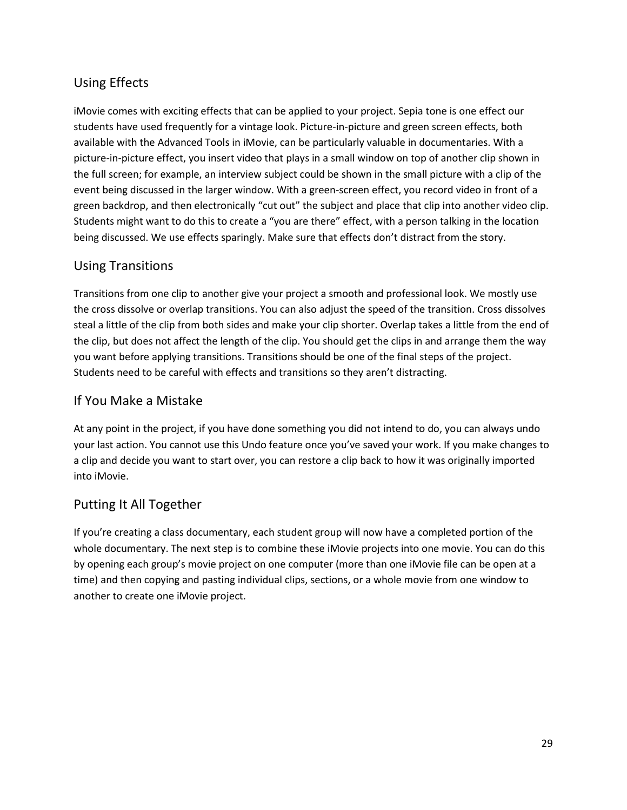## Using Effects

iMovie comes with exciting effects that can be applied to your project. Sepia tone is one effect our students have used frequently for a vintage look. Picture-in-picture and green screen effects, both available with the Advanced Tools in iMovie, can be particularly valuable in documentaries. With a picture-in-picture effect, you insert video that plays in a small window on top of another clip shown in the full screen; for example, an interview subject could be shown in the small picture with a clip of the event being discussed in the larger window. With a green-screen effect, you record video in front of a green backdrop, and then electronically "cut out" the subject and place that clip into another video clip. Students might want to do this to create a "you are there" effect, with a person talking in the location being discussed. We use effects sparingly. Make sure that effects don't distract from the story.

### Using Transitions

Transitions from one clip to another give your project a smooth and professional look. We mostly use the cross dissolve or overlap transitions. You can also adjust the speed of the transition. Cross dissolves steal a little of the clip from both sides and make your clip shorter. Overlap takes a little from the end of the clip, but does not affect the length of the clip. You should get the clips in and arrange them the way you want before applying transitions. Transitions should be one of the final steps of the project. Students need to be careful with effects and transitions so they aren't distracting.

### If You Make a Mistake

At any point in the project, if you have done something you did not intend to do, you can always undo your last action. You cannot use this Undo feature once you've saved your work. If you make changes to a clip and decide you want to start over, you can restore a clip back to how it was originally imported into iMovie.

### Putting It All Together

If you're creating a class documentary, each student group will now have a completed portion of the whole documentary. The next step is to combine these iMovie projects into one movie. You can do this by opening each group's movie project on one computer (more than one iMovie file can be open at a time) and then copying and pasting individual clips, sections, or a whole movie from one window to another to create one iMovie project.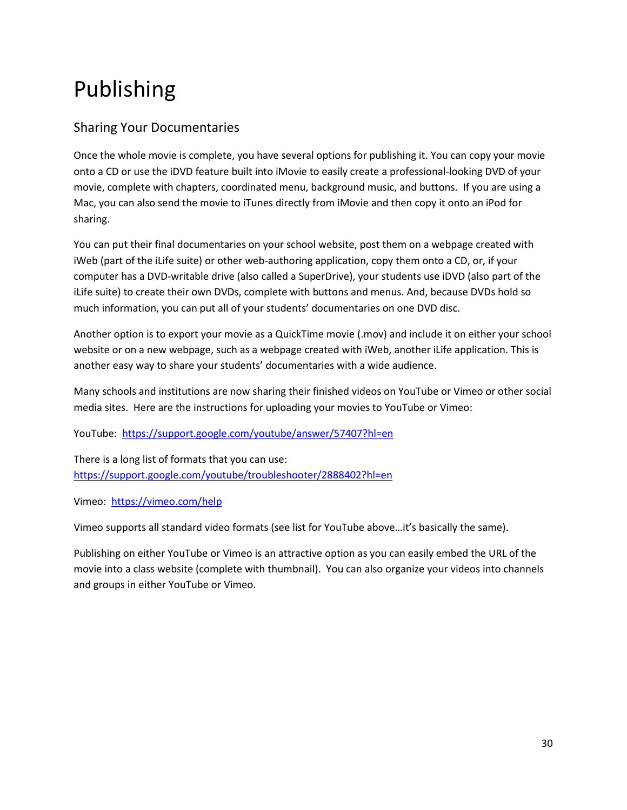## Publishing

### Sharing Your Documentaries

Once the whole movie is complete, you have several options for publishing it. You can copy your movie onto a CD or use the iDVD feature built into iMovie to easily create a professional-looking DVD of your movie, complete with chapters, coordinated menu, background music, and buttons. If you are using a Mac, you can also send the movie to iTunes directly from iMovie and then copy it onto an iPod for sharing.

You can put their final documentaries on your school website, post them on a webpage created with iWeb (part of the iLife suite) or other web-authoring application, copy them onto a CD, or, if your computer has a DVD-writable drive (also called a SuperDrive), your students use iDVD (also part of the iLife suite) to create their own DVDs, complete with buttons and menus. And, because DVDs hold so much information, you can put all of your students' documentaries on one DVD disc.

Another option is to export your movie as a QuickTime movie (.mov) and include it on either your school website or on a new webpage, such as a webpage created with iWeb, another iLife application. This is another easy way to share your students' documentaries with a wide audience.

Many schools and institutions are now sharing their finished videos on YouTube or Vimeo or other social media sites. Here are the instructions for uploading your movies to YouTube or Vimeo:

YouTube: <https://support.google.com/youtube/answer/57407?hl=en>

There is a long list of formats that you can use: <https://support.google.com/youtube/troubleshooter/2888402?hl=en>

Vimeo:<https://vimeo.com/help>

Vimeo supports all standard video formats (see list for YouTube above…it's basically the same).

Publishing on either YouTube or Vimeo is an attractive option as you can easily embed the URL of the movie into a class website (complete with thumbnail). You can also organize your videos into channels and groups in either YouTube or Vimeo.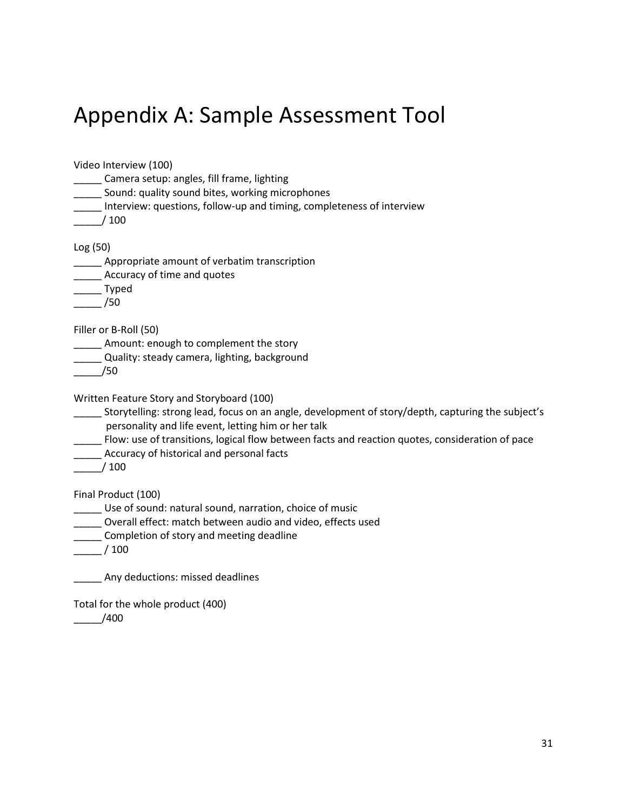## Appendix A: Sample Assessment Tool

Video Interview (100) \_\_\_\_\_ Camera setup: angles, fill frame, lighting **\_\_\_\_\_** Sound: quality sound bites, working microphones \_\_\_\_\_ Interview: questions, follow-up and timing, completeness of interview \_\_\_\_\_/ 100 Log (50) **\_\_\_\_\_** Appropriate amount of verbatim transcription **\_\_\_\_\_** Accuracy of time and quotes \_\_\_\_\_ Typed \_\_\_\_\_ /50 Filler or B-Roll (50) **\_\_\_\_\_** Amount: enough to complement the story **\_\_\_\_\_** Quality: steady camera, lighting, background \_\_\_\_\_/50 Written Feature Story and Storyboard (100) Storytelling: strong lead, focus on an angle, development of story/depth, capturing the subject's personality and life event, letting him or her talk \_\_\_\_\_ Flow: use of transitions, logical flow between facts and reaction quotes, consideration of pace **\_\_\_\_\_** Accuracy of historical and personal facts \_\_\_\_\_/ 100 Final Product (100) \_\_\_\_\_ Use of sound: natural sound, narration, choice of music \_\_\_\_\_ Overall effect: match between audio and video, effects used **\_\_\_\_\_** Completion of story and meeting deadline \_\_\_\_\_ / 100 \_\_\_\_\_ Any deductions: missed deadlines Total for the whole product (400)

 $-$  /400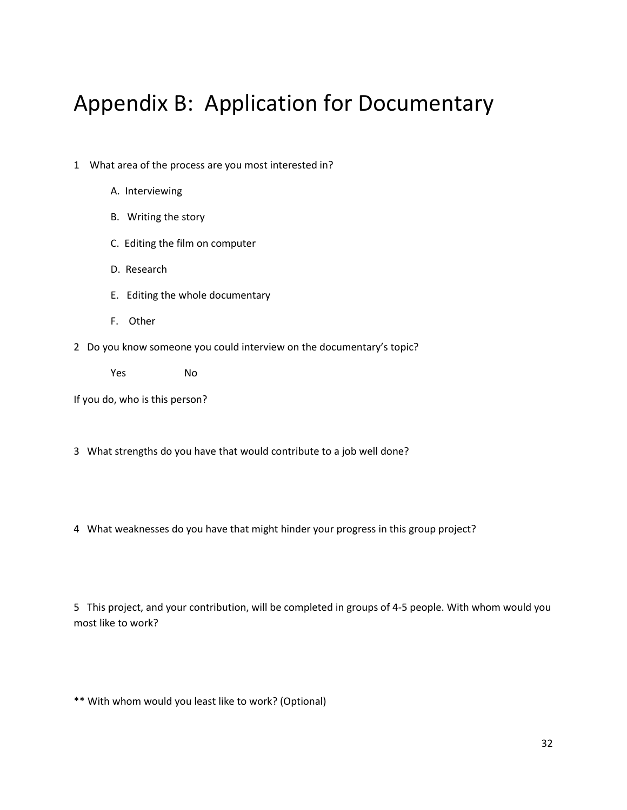## Appendix B: Application for Documentary

- 1 What area of the process are you most interested in?
	- A. Interviewing
	- B. Writing the story
	- C. Editing the film on computer
	- D. Research
	- E. Editing the whole documentary
	- F. Other
- 2 Do you know someone you could interview on the documentary's topic?

Yes No

If you do, who is this person?

- 3 What strengths do you have that would contribute to a job well done?
- 4 What weaknesses do you have that might hinder your progress in this group project?

5 This project, and your contribution, will be completed in groups of 4-5 people. With whom would you most like to work?

\*\* With whom would you least like to work? (Optional)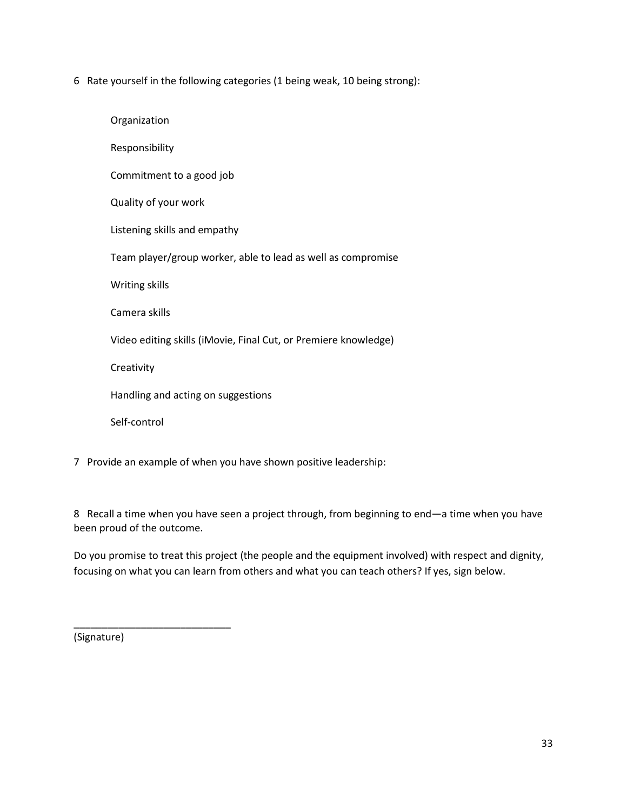6 Rate yourself in the following categories (1 being weak, 10 being strong):

| Organization                                                    |
|-----------------------------------------------------------------|
| Responsibility                                                  |
| Commitment to a good job                                        |
| Quality of your work                                            |
| Listening skills and empathy                                    |
| Team player/group worker, able to lead as well as compromise    |
| Writing skills                                                  |
| Camera skills                                                   |
| Video editing skills (iMovie, Final Cut, or Premiere knowledge) |
| Creativity                                                      |
| Handling and acting on suggestions                              |
| Self-control                                                    |
|                                                                 |

7 Provide an example of when you have shown positive leadership:

8 Recall a time when you have seen a project through, from beginning to end—a time when you have been proud of the outcome.

Do you promise to treat this project (the people and the equipment involved) with respect and dignity, focusing on what you can learn from others and what you can teach others? If yes, sign below.

(Signature)

\_\_\_\_\_\_\_\_\_\_\_\_\_\_\_\_\_\_\_\_\_\_\_\_\_\_\_\_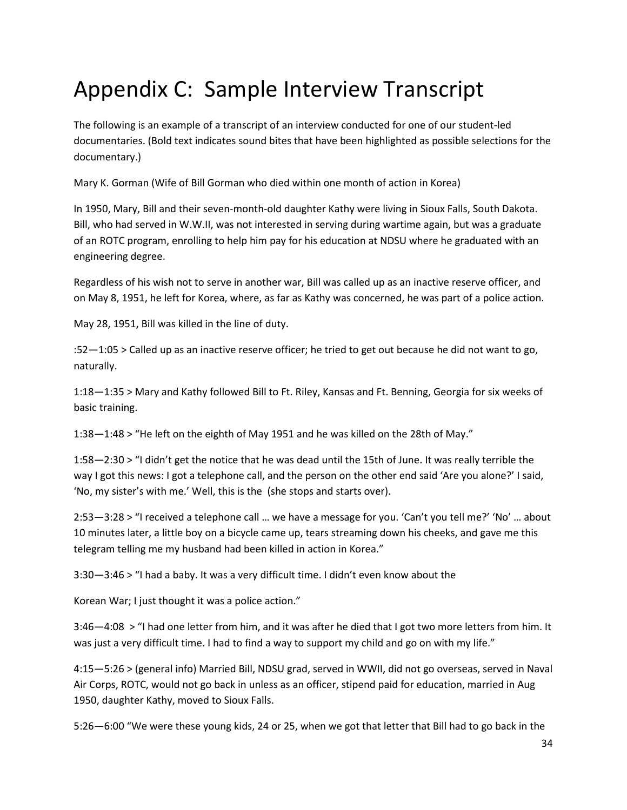## Appendix C: Sample Interview Transcript

The following is an example of a transcript of an interview conducted for one of our student-led documentaries. (Bold text indicates sound bites that have been highlighted as possible selections for the documentary.)

Mary K. Gorman (Wife of Bill Gorman who died within one month of action in Korea)

In 1950, Mary, Bill and their seven-month-old daughter Kathy were living in Sioux Falls, South Dakota. Bill, who had served in W.W.II, was not interested in serving during wartime again, but was a graduate of an ROTC program, enrolling to help him pay for his education at NDSU where he graduated with an engineering degree.

Regardless of his wish not to serve in another war, Bill was called up as an inactive reserve officer, and on May 8, 1951, he left for Korea, where, as far as Kathy was concerned, he was part of a police action.

May 28, 1951, Bill was killed in the line of duty.

:52—1:05 > Called up as an inactive reserve officer; he tried to get out because he did not want to go, naturally.

1:18—1:35 > Mary and Kathy followed Bill to Ft. Riley, Kansas and Ft. Benning, Georgia for six weeks of basic training.

1:38—1:48 > "He left on the eighth of May 1951 and he was killed on the 28th of May."

1:58—2:30 > "I didn't get the notice that he was dead until the 15th of June. It was really terrible the way I got this news: I got a telephone call, and the person on the other end said 'Are you alone?' I said, 'No, my sister's with me.' Well, this is the (she stops and starts over).

2:53—3:28 > "I received a telephone call … we have a message for you. 'Can't you tell me?' 'No' … about 10 minutes later, a little boy on a bicycle came up, tears streaming down his cheeks, and gave me this telegram telling me my husband had been killed in action in Korea."

3:30—3:46 > "I had a baby. It was a very difficult time. I didn't even know about the

Korean War; I just thought it was a police action."

3:46—4:08 > "I had one letter from him, and it was after he died that I got two more letters from him. It was just a very difficult time. I had to find a way to support my child and go on with my life."

4:15—5:26 > (general info) Married Bill, NDSU grad, served in WWII, did not go overseas, served in Naval Air Corps, ROTC, would not go back in unless as an officer, stipend paid for education, married in Aug 1950, daughter Kathy, moved to Sioux Falls.

5:26—6:00 "We were these young kids, 24 or 25, when we got that letter that Bill had to go back in the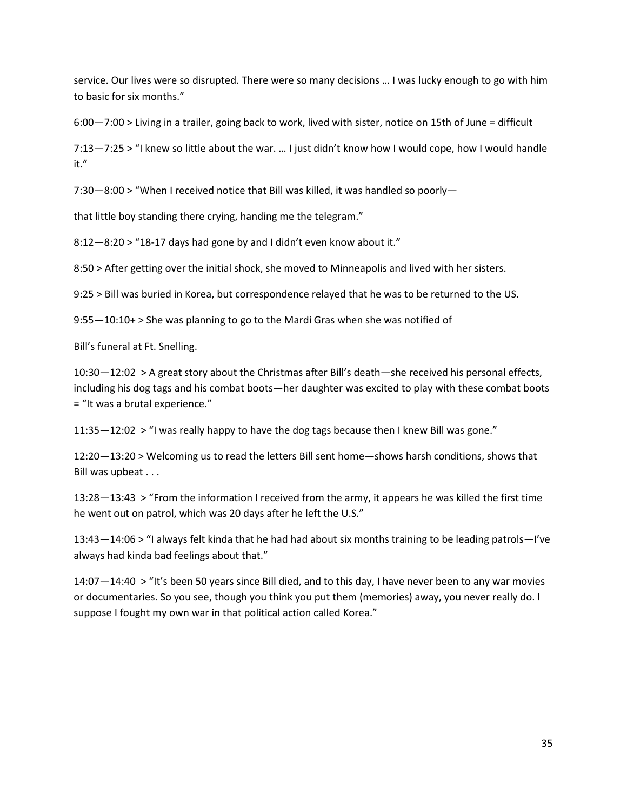service. Our lives were so disrupted. There were so many decisions … I was lucky enough to go with him to basic for six months."

6:00—7:00 > Living in a trailer, going back to work, lived with sister, notice on 15th of June = difficult

7:13—7:25 > "I knew so little about the war. … I just didn't know how I would cope, how I would handle it."

7:30—8:00 > "When I received notice that Bill was killed, it was handled so poorly—

that little boy standing there crying, handing me the telegram."

8:12—8:20 > "18-17 days had gone by and I didn't even know about it."

8:50 > After getting over the initial shock, she moved to Minneapolis and lived with her sisters.

9:25 > Bill was buried in Korea, but correspondence relayed that he was to be returned to the US.

9:55—10:10+ > She was planning to go to the Mardi Gras when she was notified of

Bill's funeral at Ft. Snelling.

10:30—12:02 > A great story about the Christmas after Bill's death—she received his personal effects, including his dog tags and his combat boots—her daughter was excited to play with these combat boots = "It was a brutal experience."

11:35—12:02 > "I was really happy to have the dog tags because then I knew Bill was gone."

12:20—13:20 > Welcoming us to read the letters Bill sent home—shows harsh conditions, shows that Bill was upbeat . . .

13:28—13:43 > "From the information I received from the army, it appears he was killed the first time he went out on patrol, which was 20 days after he left the U.S."

13:43—14:06 > "I always felt kinda that he had had about six months training to be leading patrols—I've always had kinda bad feelings about that."

14:07—14:40 > "It's been 50 years since Bill died, and to this day, I have never been to any war movies or documentaries. So you see, though you think you put them (memories) away, you never really do. I suppose I fought my own war in that political action called Korea."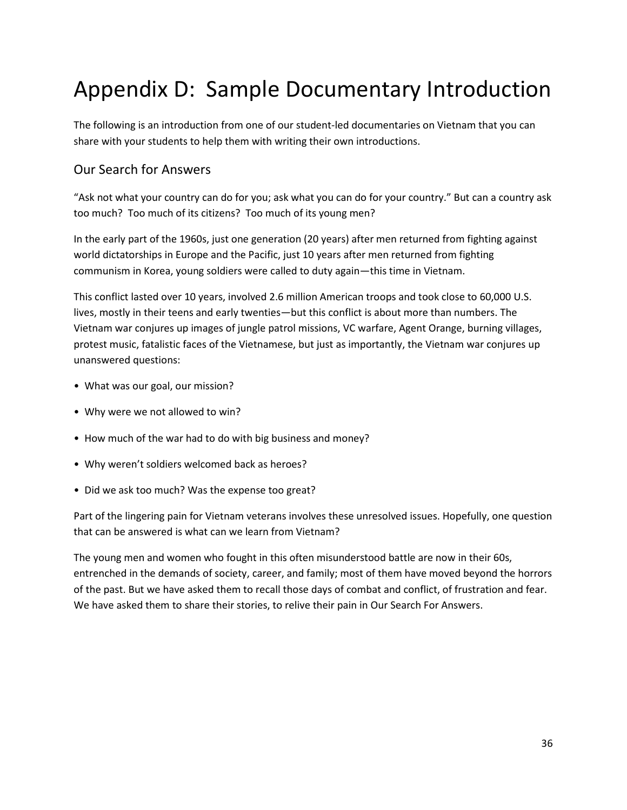## Appendix D: Sample Documentary Introduction

The following is an introduction from one of our student-led documentaries on Vietnam that you can share with your students to help them with writing their own introductions.

### Our Search for Answers

"Ask not what your country can do for you; ask what you can do for your country." But can a country ask too much? Too much of its citizens? Too much of its young men?

In the early part of the 1960s, just one generation (20 years) after men returned from fighting against world dictatorships in Europe and the Pacific, just 10 years after men returned from fighting communism in Korea, young soldiers were called to duty again—this time in Vietnam.

This conflict lasted over 10 years, involved 2.6 million American troops and took close to 60,000 U.S. lives, mostly in their teens and early twenties—but this conflict is about more than numbers. The Vietnam war conjures up images of jungle patrol missions, VC warfare, Agent Orange, burning villages, protest music, fatalistic faces of the Vietnamese, but just as importantly, the Vietnam war conjures up unanswered questions:

- What was our goal, our mission?
- Why were we not allowed to win?
- How much of the war had to do with big business and money?
- Why weren't soldiers welcomed back as heroes?
- Did we ask too much? Was the expense too great?

Part of the lingering pain for Vietnam veterans involves these unresolved issues. Hopefully, one question that can be answered is what can we learn from Vietnam?

The young men and women who fought in this often misunderstood battle are now in their 60s, entrenched in the demands of society, career, and family; most of them have moved beyond the horrors of the past. But we have asked them to recall those days of combat and conflict, of frustration and fear. We have asked them to share their stories, to relive their pain in Our Search For Answers.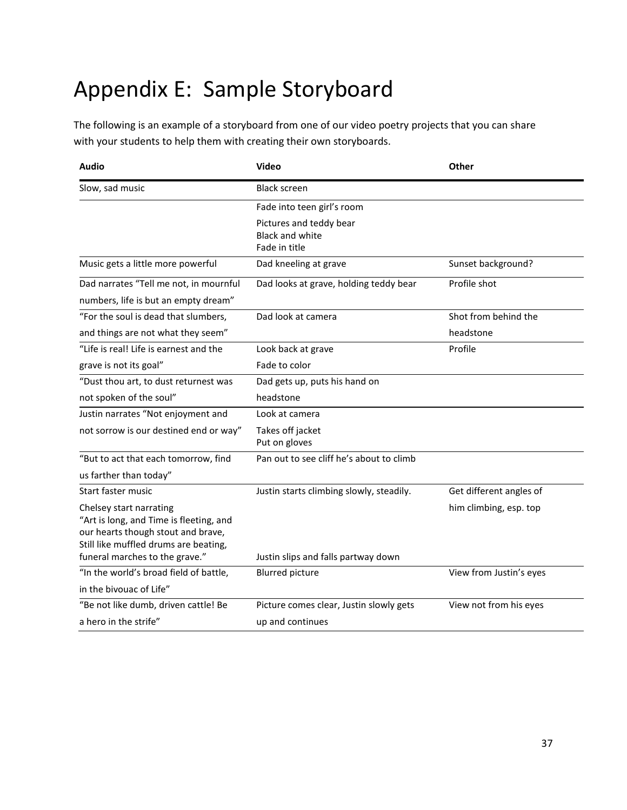## Appendix E: Sample Storyboard

The following is an example of a storyboard from one of our video poetry projects that you can share with your students to help them with creating their own storyboards.

| Audio                                                                                                                                             | Video                                                              | Other                             |
|---------------------------------------------------------------------------------------------------------------------------------------------------|--------------------------------------------------------------------|-----------------------------------|
| Slow, sad music                                                                                                                                   | <b>Black screen</b>                                                |                                   |
|                                                                                                                                                   | Fade into teen girl's room                                         |                                   |
|                                                                                                                                                   | Pictures and teddy bear<br><b>Black and white</b><br>Fade in title |                                   |
| Music gets a little more powerful                                                                                                                 | Dad kneeling at grave                                              | Sunset background?                |
| Dad narrates "Tell me not, in mournful<br>numbers, life is but an empty dream"                                                                    | Dad looks at grave, holding teddy bear                             | Profile shot                      |
| "For the soul is dead that slumbers,<br>and things are not what they seem"                                                                        | Dad look at camera                                                 | Shot from behind the<br>headstone |
| "Life is real! Life is earnest and the                                                                                                            | Look back at grave                                                 | Profile                           |
| grave is not its goal"                                                                                                                            | Fade to color                                                      |                                   |
| "Dust thou art, to dust returnest was                                                                                                             | Dad gets up, puts his hand on                                      |                                   |
| not spoken of the soul"                                                                                                                           | headstone                                                          |                                   |
| Justin narrates "Not enjoyment and                                                                                                                | Look at camera                                                     |                                   |
| not sorrow is our destined end or way"                                                                                                            | Takes off jacket<br>Put on gloves                                  |                                   |
| "But to act that each tomorrow, find                                                                                                              | Pan out to see cliff he's about to climb                           |                                   |
| us farther than today"                                                                                                                            |                                                                    |                                   |
| Start faster music                                                                                                                                | Justin starts climbing slowly, steadily.                           | Get different angles of           |
| Chelsey start narrating<br>"Art is long, and Time is fleeting, and<br>our hearts though stout and brave,<br>Still like muffled drums are beating, |                                                                    | him climbing, esp. top            |
| funeral marches to the grave."                                                                                                                    | Justin slips and falls partway down                                |                                   |
| "In the world's broad field of battle,                                                                                                            | <b>Blurred picture</b>                                             | View from Justin's eyes           |
| in the bivouac of Life"                                                                                                                           |                                                                    |                                   |
| "Be not like dumb, driven cattle! Be                                                                                                              | Picture comes clear, Justin slowly gets                            | View not from his eyes            |
| a hero in the strife"                                                                                                                             | up and continues                                                   |                                   |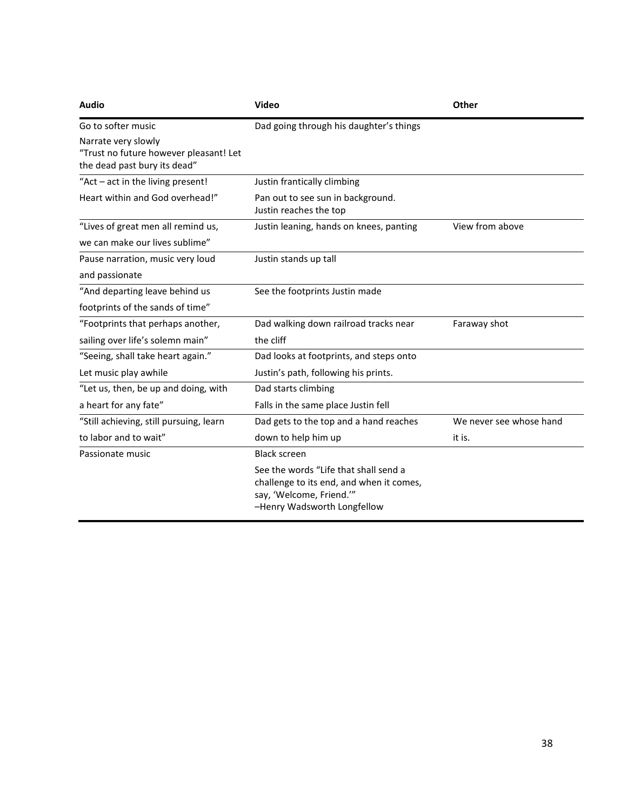| <b>Audio</b>                                                                                  | <b>Video</b>                                                                                                                                 | Other                   |
|-----------------------------------------------------------------------------------------------|----------------------------------------------------------------------------------------------------------------------------------------------|-------------------------|
| Go to softer music                                                                            | Dad going through his daughter's things                                                                                                      |                         |
| Narrate very slowly<br>"Trust no future however pleasant! Let<br>the dead past bury its dead" |                                                                                                                                              |                         |
| "Act - act in the living present!                                                             | Justin frantically climbing                                                                                                                  |                         |
| Heart within and God overhead!"                                                               | Pan out to see sun in background.<br>Justin reaches the top                                                                                  |                         |
| "Lives of great men all remind us,                                                            | Justin leaning, hands on knees, panting                                                                                                      | View from above         |
| we can make our lives sublime"                                                                |                                                                                                                                              |                         |
| Pause narration, music very loud                                                              | Justin stands up tall                                                                                                                        |                         |
| and passionate                                                                                |                                                                                                                                              |                         |
| "And departing leave behind us                                                                | See the footprints Justin made                                                                                                               |                         |
| footprints of the sands of time"                                                              |                                                                                                                                              |                         |
| "Footprints that perhaps another,                                                             | Dad walking down railroad tracks near                                                                                                        | Faraway shot            |
| sailing over life's solemn main"                                                              | the cliff                                                                                                                                    |                         |
| "Seeing, shall take heart again."                                                             | Dad looks at footprints, and steps onto                                                                                                      |                         |
| Let music play awhile                                                                         | Justin's path, following his prints.                                                                                                         |                         |
| "Let us, then, be up and doing, with                                                          | Dad starts climbing                                                                                                                          |                         |
| a heart for any fate"                                                                         | Falls in the same place Justin fell                                                                                                          |                         |
| "Still achieving, still pursuing, learn                                                       | Dad gets to the top and a hand reaches                                                                                                       | We never see whose hand |
| to labor and to wait"                                                                         | down to help him up                                                                                                                          | it is.                  |
| Passionate music                                                                              | <b>Black screen</b>                                                                                                                          |                         |
|                                                                                               | See the words "Life that shall send a<br>challenge to its end, and when it comes,<br>say, 'Welcome, Friend.'"<br>-Henry Wadsworth Longfellow |                         |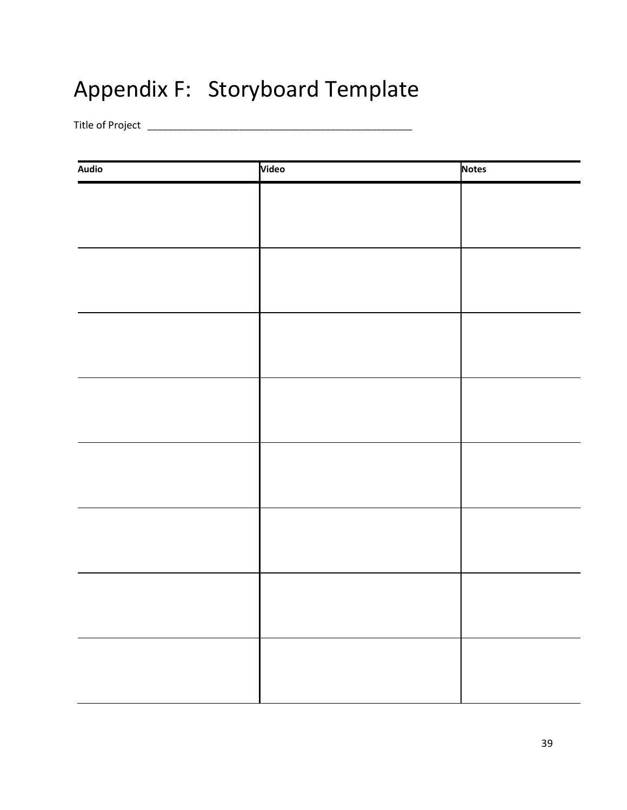## Appendix F: Storyboard Template

Title of Project \_\_\_\_\_\_\_\_\_\_\_\_\_\_\_\_\_\_\_\_\_\_\_\_\_\_\_\_\_\_\_\_\_\_\_\_\_\_\_\_\_\_\_\_\_\_\_\_\_\_\_\_

| Audio | Video | <b>Notes</b> |
|-------|-------|--------------|
|       |       |              |
|       |       |              |
|       |       |              |
|       |       |              |
|       |       |              |
|       |       |              |
|       |       |              |
|       |       |              |
|       |       |              |
|       |       |              |
|       |       |              |
|       |       |              |
|       |       |              |
|       |       |              |
|       |       |              |
|       |       |              |
|       |       |              |
|       |       |              |
|       |       |              |
|       |       |              |
|       |       |              |
|       |       |              |
|       |       |              |
|       |       |              |